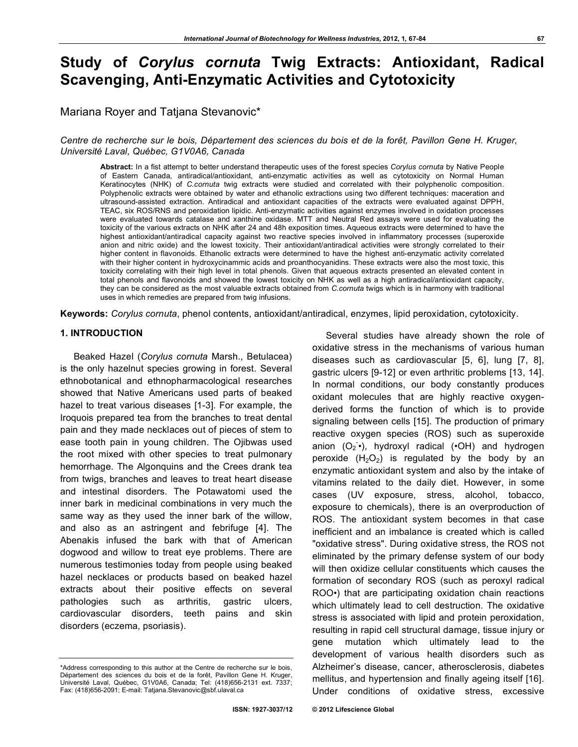# **Study of** *Corylus cornuta* **Twig Extracts: Antioxidant, Radical Scavenging, Anti-Enzymatic Activities and Cytotoxicity**

Mariana Royer and Tatjana Stevanovic\*

*Centre de recherche sur le bois, Département des sciences du bois et de la forêt, Pavillon Gene H. Kruger, Université Laval, Québec, G1V0A6, Canada*

**Abstract:** In a fist attempt to better understand therapeutic uses of the forest species *Corylus cornuta* by Native People of Eastern Canada, antiradical/antioxidant, anti-enzymatic activities as well as cytotoxicity on Normal Human Keratinocytes (NHK) of *C.cornuta* twig extracts were studied and correlated with their polyphenolic composition. Polyphenolic extracts were obtained by water and ethanolic extractions using two different techniques: maceration and ultrasound-assisted extraction. Antiradical and antioxidant capacities of the extracts were evaluated against DPPH, TEAC, six ROS/RNS and peroxidation lipidic. Anti-enzymatic activities against enzymes involved in oxidation processes were evaluated towards catalase and xanthine oxidase. MTT and Neutral Red assays were used for evaluating the toxicity of the various extracts on NHK after 24 and 48h exposition times. Aqueous extracts were determined to have the highest antioxidant/antiradical capacity against two reactive species involved in inflammatory processes (superoxide anion and nitric oxide) and the lowest toxicity. Their antioxidant/antiradical activities were strongly correlated to their higher content in flavonoids. Ethanolic extracts were determined to have the highest anti-enzymatic activity correlated with their higher content in hydroxycinammic acids and proanthocyanidins. These extracts were also the most toxic, this toxicity correlating with their high level in total phenols. Given that aqueous extracts presented an elevated content in total phenols and flavonoids and showed the lowest toxicity on NHK as well as a high antiradical/antioxidant capacity, they can be considered as the most valuable extracts obtained from *C.cornuta* twigs which is in harmony with traditional uses in which remedies are prepared from twig infusions.

**Keywords:** *Corylus cornuta*, phenol contents, antioxidant/antiradical, enzymes, lipid peroxidation, cytotoxicity.

## **1. INTRODUCTION**

Beaked Hazel (*Corylus cornuta* Marsh., Betulacea) is the only hazelnut species growing in forest. Several ethnobotanical and ethnopharmacological researches showed that Native Americans used parts of beaked hazel to treat various diseases [1-3]. For example, the Iroquois prepared tea from the branches to treat dental pain and they made necklaces out of pieces of stem to ease tooth pain in young children. The Ojibwas used the root mixed with other species to treat pulmonary hemorrhage. The Algonquins and the Crees drank tea from twigs, branches and leaves to treat heart disease and intestinal disorders. The Potawatomi used the inner bark in medicinal combinations in very much the same way as they used the inner bark of the willow, and also as an astringent and febrifuge [4]. The Abenakis infused the bark with that of American dogwood and willow to treat eye problems. There are numerous testimonies today from people using beaked hazel necklaces or products based on beaked hazel extracts about their positive effects on several pathologies such as arthritis, gastric ulcers, cardiovascular disorders, teeth pains and skin disorders (eczema, psoriasis).

Several studies have already shown the role of oxidative stress in the mechanisms of various human diseases such as cardiovascular [5, 6], lung [7, 8], gastric ulcers [9-12] or even arthritic problems [13, 14]. In normal conditions, our body constantly produces oxidant molecules that are highly reactive oxygenderived forms the function of which is to provide signaling between cells [15]. The production of primary reactive oxygen species (ROS) such as superoxide anion  $(O_2^{\bullet})$ , hydroxyl radical  $(OH)$  and hydrogen peroxide  $(H_2O_2)$  is regulated by the body by an enzymatic antioxidant system and also by the intake of vitamins related to the daily diet. However, in some cases (UV exposure, stress, alcohol, tobacco, exposure to chemicals), there is an overproduction of ROS. The antioxidant system becomes in that case inefficient and an imbalance is created which is called "oxidative stress". During oxidative stress, the ROS not eliminated by the primary defense system of our body will then oxidize cellular constituents which causes the formation of secondary ROS (such as peroxyl radical ROO•) that are participating oxidation chain reactions which ultimately lead to cell destruction. The oxidative stress is associated with lipid and protein peroxidation, resulting in rapid cell structural damage, tissue injury or gene mutation which ultimately lead to the development of various health disorders such as Alzheimer's disease, cancer, atherosclerosis, diabetes mellitus, and hypertension and finally ageing itself [16]. Under conditions of oxidative stress, excessive

<sup>\*</sup>Address corresponding to this author at the Centre de recherche sur le bois, Département des sciences du bois et de la forêt, Pavillon Gene H. Kruger, Université Laval, Québec, G1V0A6, Canada; Tel: (418)656-2131 ext. 7337; Fax: (418)656-2091; E-mail: Tatjana.Stevanovic@sbf.ulaval.ca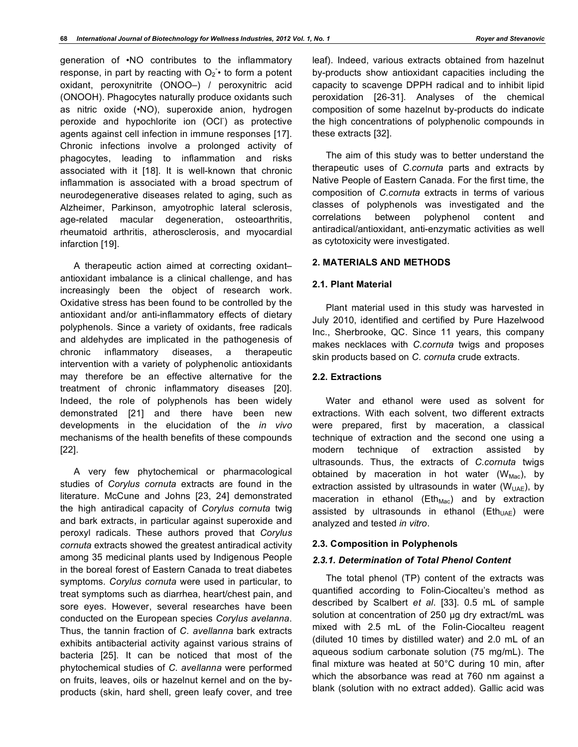generation of •NO contributes to the inflammatory response, in part by reacting with  $O_2$ <sup>\*</sup> to form a potent oxidant, peroxynitrite (ONOO–) / peroxynitric acid (ONOOH). Phagocytes naturally produce oxidants such as nitric oxide (•NO), superoxide anion, hydrogen peroxide and hypochlorite ion (OCI<sup>'</sup>) as protective agents against cell infection in immune responses [17]. Chronic infections involve a prolonged activity of phagocytes, leading to inflammation and risks associated with it [18]. It is well-known that chronic inflammation is associated with a broad spectrum of neurodegenerative diseases related to aging, such as Alzheimer, Parkinson, amyotrophic lateral sclerosis, age-related macular degeneration, osteoarthritis, rheumatoid arthritis, atherosclerosis, and myocardial infarction [19].

A therapeutic action aimed at correcting oxidant– antioxidant imbalance is a clinical challenge, and has increasingly been the object of research work. Oxidative stress has been found to be controlled by the antioxidant and/or anti-inflammatory effects of dietary polyphenols. Since a variety of oxidants, free radicals and aldehydes are implicated in the pathogenesis of chronic inflammatory diseases, a therapeutic intervention with a variety of polyphenolic antioxidants may therefore be an effective alternative for the treatment of chronic inflammatory diseases [20]. Indeed, the role of polyphenols has been widely demonstrated [21] and there have been new developments in the elucidation of the *in vivo* mechanisms of the health benefits of these compounds [22].

A very few phytochemical or pharmacological studies of *Corylus cornuta* extracts are found in the literature. McCune and Johns [23, 24] demonstrated the high antiradical capacity of *Corylus cornuta* twig and bark extracts, in particular against superoxide and peroxyl radicals. These authors proved that *Corylus cornuta* extracts showed the greatest antiradical activity among 35 medicinal plants used by Indigenous People in the boreal forest of Eastern Canada to treat diabetes symptoms. *Corylus cornuta* were used in particular, to treat symptoms such as diarrhea, heart/chest pain, and sore eyes. However, several researches have been conducted on the European species *Corylus avelanna*. Thus, the tannin fraction of *C. avellanna* bark extracts exhibits antibacterial activity against various strains of bacteria [25]. It can be noticed that most of the phytochemical studies of *C. avellanna* were performed on fruits, leaves, oils or hazelnut kernel and on the byproducts (skin, hard shell, green leafy cover, and tree

leaf). Indeed, various extracts obtained from hazelnut by-products show antioxidant capacities including the capacity to scavenge DPPH radical and to inhibit lipid peroxidation [26-31]. Analyses of the chemical composition of some hazelnut by-products do indicate the high concentrations of polyphenolic compounds in these extracts [32].

The aim of this study was to better understand the therapeutic uses of *C.cornuta* parts and extracts by Native People of Eastern Canada. For the first time, the composition of *C.cornuta* extracts in terms of various classes of polyphenols was investigated and the correlations between polyphenol content and antiradical/antioxidant, anti-enzymatic activities as well as cytotoxicity were investigated.

## **2. MATERIALS AND METHODS**

## **2.1. Plant Material**

Plant material used in this study was harvested in July 2010, identified and certified by Pure Hazelwood Inc., Sherbrooke, QC. Since 11 years, this company makes necklaces with *C.cornuta* twigs and proposes skin products based on *C. cornuta* crude extracts.

#### **2.2. Extractions**

Water and ethanol were used as solvent for extractions. With each solvent, two different extracts were prepared, first by maceration, a classical technique of extraction and the second one using a modern technique of extraction assisted by ultrasounds. Thus, the extracts of *C.cornuta* twigs obtained by maceration in hot water  $(W_{Mac})$ , by extraction assisted by ultrasounds in water ( $W<sub>UAE</sub>$ ), by maceration in ethanol ( $Eth_{Mac}$ ) and by extraction assisted by ultrasounds in ethanol ( $E$ th<sub>UAE</sub>) were analyzed and tested *in vitro*.

## **2.3. Composition in Polyphenols**

## *2.3.1. Determination of Total Phenol Content*

The total phenol (TP) content of the extracts was quantified according to Folin-Ciocalteu's method as described by Scalbert *et al*. [33]. 0.5 mL of sample solution at concentration of 250 µg dry extract/mL was mixed with 2.5 mL of the Folin-Ciocalteu reagent (diluted 10 times by distilled water) and 2.0 mL of an aqueous sodium carbonate solution (75 mg/mL). The final mixture was heated at 50°C during 10 min, after which the absorbance was read at 760 nm against a blank (solution with no extract added). Gallic acid was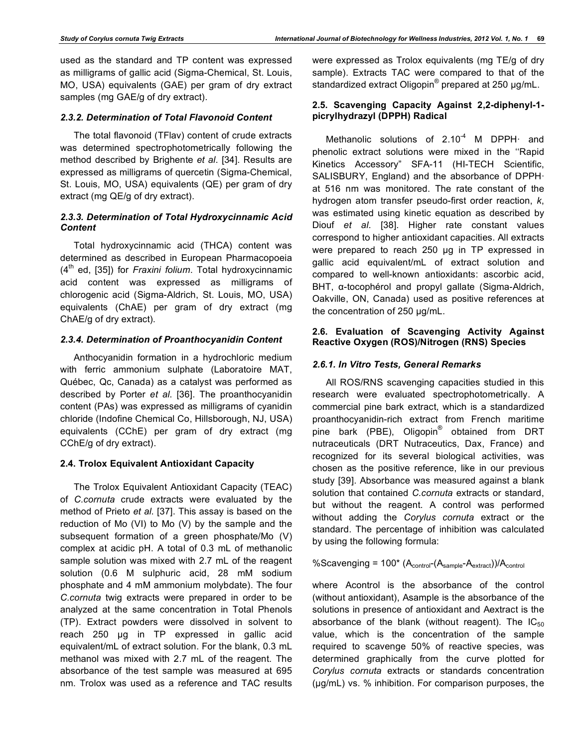used as the standard and TP content was expressed as milligrams of gallic acid (Sigma-Chemical, St. Louis, MO, USA) equivalents (GAE) per gram of dry extract samples (mg GAE/g of dry extract).

# *2.3.2. Determination of Total Flavonoid Content*

The total flavonoid (TFlav) content of crude extracts was determined spectrophotometrically following the method described by Brighente *et al*. [34]. Results are expressed as milligrams of quercetin (Sigma-Chemical, St. Louis, MO, USA) equivalents (QE) per gram of dry extract (mg QE/g of dry extract).

# *2.3.3. Determination of Total Hydroxycinnamic Acid Content*

Total hydroxycinnamic acid (THCA) content was determined as described in European Pharmacopoeia (4<sup>th</sup> ed, [35]) for *Fraxini folium*. Total hydroxycinnamic acid content was expressed as milligrams of chlorogenic acid (Sigma-Aldrich, St. Louis, MO, USA) equivalents (ChAE) per gram of dry extract (mg ChAE/g of dry extract).

# *2.3.4. Determination of Proanthocyanidin Content*

Anthocyanidin formation in a hydrochloric medium with ferric ammonium sulphate (Laboratoire MAT, Québec, Qc, Canada) as a catalyst was performed as described by Porter *et al*. [36]. The proanthocyanidin content (PAs) was expressed as milligrams of cyanidin chloride (Indofine Chemical Co, Hillsborough, NJ, USA) equivalents (CChE) per gram of dry extract (mg CChE/g of dry extract).

## **2.4. Trolox Equivalent Antioxidant Capacity**

The Trolox Equivalent Antioxidant Capacity (TEAC) of *C.cornuta* crude extracts were evaluated by the method of Prieto *et al*. [37]. This assay is based on the reduction of Mo (VI) to Mo (V) by the sample and the subsequent formation of a green phosphate/Mo (V) complex at acidic pH. A total of 0.3 mL of methanolic sample solution was mixed with 2.7 mL of the reagent solution (0.6 M sulphuric acid, 28 mM sodium phosphate and 4 mM ammonium molybdate). The four *C.cornuta* twig extracts were prepared in order to be analyzed at the same concentration in Total Phenols (TP). Extract powders were dissolved in solvent to reach 250 µg in TP expressed in gallic acid equivalent/mL of extract solution. For the blank, 0.3 mL methanol was mixed with 2.7 mL of the reagent. The absorbance of the test sample was measured at 695 nm. Trolox was used as a reference and TAC results

were expressed as Trolox equivalents (mg TE/g of dry sample). Extracts TAC were compared to that of the standardized extract Oligopin<sup>®</sup> prepared at 250 µg/mL.

# **2.5. Scavenging Capacity Against 2,2-diphenyl-1 picrylhydrazyl (DPPH) Radical**

Methanolic solutions of  $2.10<sup>-4</sup>$  M DPPH $\cdot$  and phenolic extract solutions were mixed in the ''Rapid Kinetics Accessory" SFA-11 (HI-TECH Scientific, SALISBURY, England) and the absorbance of DPPH· at 516 nm was monitored. The rate constant of the hydrogen atom transfer pseudo-first order reaction, *k*, was estimated using kinetic equation as described by Diouf *et al*. [38]. Higher rate constant values correspond to higher antioxidant capacities. All extracts were prepared to reach 250 µg in TP expressed in gallic acid equivalent/mL of extract solution and compared to well-known antioxidants: ascorbic acid, BHT, α-tocophérol and propyl gallate (Sigma-Aldrich, Oakville, ON, Canada) used as positive references at the concentration of 250 µg/mL.

## **2.6. Evaluation of Scavenging Activity Against Reactive Oxygen (ROS)/Nitrogen (RNS) Species**

# *2.6.1. In Vitro Tests, General Remarks*

All ROS/RNS scavenging capacities studied in this research were evaluated spectrophotometrically. A commercial pine bark extract, which is a standardized proanthocyanidin-rich extract from French maritime pine bark (PBE), Oligopin<sup>®</sup> obtained from DRT nutraceuticals (DRT Nutraceutics, Dax, France) and recognized for its several biological activities, was chosen as the positive reference, like in our previous study [39]. Absorbance was measured against a blank solution that contained *C.cornuta* extracts or standard, but without the reagent. A control was performed without adding the *Corylus cornuta* extract or the standard. The percentage of inhibition was calculated by using the following formula:

%Scavenging =  $100*(A_{control}-(A_{sample}-A_{extract}))/A_{control}$ 

where Acontrol is the absorbance of the control (without antioxidant), Asample is the absorbance of the solutions in presence of antioxidant and Aextract is the absorbance of the blank (without reagent). The  $IC_{50}$ value, which is the concentration of the sample required to scavenge 50% of reactive species, was determined graphically from the curve plotted for *Corylus cornuta* extracts or standards concentration (µg/mL) vs. % inhibition. For comparison purposes, the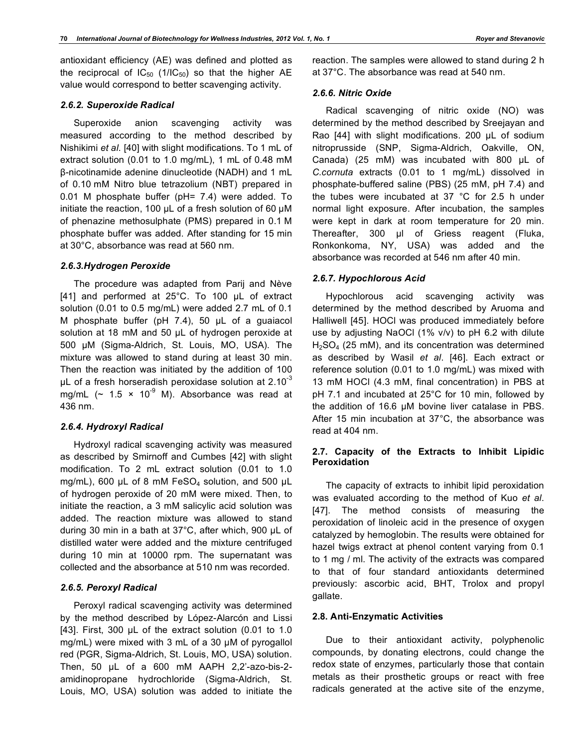antioxidant efficiency (AE) was defined and plotted as the reciprocal of  $IC_{50}$  (1/IC<sub>50</sub>) so that the higher AE value would correspond to better scavenging activity.

#### *2.6.2. Superoxide Radical*

Superoxide anion scavenging activity was measured according to the method described by Nishikimi *et al*. [40] with slight modifications. To 1 mL of extract solution (0.01 to 1.0 mg/mL), 1 mL of 0.48 mM β-nicotinamide adenine dinucleotide (NADH) and 1 mL of 0.10 mM Nitro blue tetrazolium (NBT) prepared in 0.01 M phosphate buffer (pH= 7.4) were added. To initiate the reaction, 100 uL of a fresh solution of 60 uM of phenazine methosulphate (PMS) prepared in 0.1 M phosphate buffer was added. After standing for 15 min at 30°C, absorbance was read at 560 nm.

#### *2.6.3.Hydrogen Peroxide*

The procedure was adapted from Parij and Nève [41] and performed at 25°C. To 100 µL of extract solution (0.01 to 0.5 mg/mL) were added 2.7 mL of 0.1 M phosphate buffer (pH 7.4), 50 µL of a guaiacol solution at 18 mM and 50 µL of hydrogen peroxide at 500 µM (Sigma-Aldrich, St. Louis, MO, USA). The mixture was allowed to stand during at least 30 min. Then the reaction was initiated by the addition of 100  $\mu$ L of a fresh horseradish peroxidase solution at 2.10<sup>-3</sup> mg/mL ( $\sim$  1.5  $\times$  10<sup>-9</sup> M). Absorbance was read at 436 nm.

#### *2.6.4. Hydroxyl Radical*

Hydroxyl radical scavenging activity was measured as described by Smirnoff and Cumbes [42] with slight modification. To 2 mL extract solution (0.01 to 1.0 mg/mL), 600  $\mu$ L of 8 mM FeSO<sub>4</sub> solution, and 500  $\mu$ L of hydrogen peroxide of 20 mM were mixed. Then, to initiate the reaction, a 3 mM salicylic acid solution was added. The reaction mixture was allowed to stand during 30 min in a bath at 37°C, after which, 900 µL of distilled water were added and the mixture centrifuged during 10 min at 10000 rpm. The supernatant was collected and the absorbance at 510 nm was recorded.

#### *2.6.5. Peroxyl Radical*

Peroxyl radical scavenging activity was determined by the method described by López-Alarcón and Lissi [43]. First, 300 µL of the extract solution (0.01 to 1.0 mg/mL) were mixed with 3 mL of a 30  $\mu$ M of pyrogallol red (PGR, Sigma-Aldrich, St. Louis, MO, USA) solution. Then, 50 µL of a 600 mM AAPH 2,2'-azo-bis-2 amidinopropane hydrochloride (Sigma-Aldrich, St. Louis, MO, USA) solution was added to initiate the

reaction. The samples were allowed to stand during 2 h at 37°C. The absorbance was read at 540 nm.

#### *2.6.6. Nitric Oxide*

Radical scavenging of nitric oxide (NO) was determined by the method described by Sreejayan and Rao [44] with slight modifications. 200 µL of sodium nitroprusside (SNP, Sigma-Aldrich, Oakville, ON, Canada) (25 mM) was incubated with 800 µL of *C.cornuta* extracts (0.01 to 1 mg/mL) dissolved in phosphate-buffered saline (PBS) (25 mM, pH 7.4) and the tubes were incubated at 37 °C for 2.5 h under normal light exposure. After incubation, the samples were kept in dark at room temperature for 20 min. Thereafter, 300 µl of Griess reagent (Fluka, Ronkonkoma, NY, USA) was added and the absorbance was recorded at 546 nm after 40 min.

#### *2.6.7. Hypochlorous Acid*

Hypochlorous acid scavenging activity was determined by the method described by Aruoma and Halliwell [45]. HOCl was produced immediately before use by adjusting NaOCl (1% v/v) to pH 6.2 with dilute  $H<sub>2</sub>SO<sub>4</sub>$  (25 mM), and its concentration was determined as described by Wasil *et al*. [46]. Each extract or reference solution (0.01 to 1.0 mg/mL) was mixed with 13 mM HOCl (4.3 mM, final concentration) in PBS at pH 7.1 and incubated at 25°C for 10 min, followed by the addition of 16.6 µM bovine liver catalase in PBS. After 15 min incubation at 37°C, the absorbance was read at 404 nm.

#### **2.7. Capacity of the Extracts to Inhibit Lipidic Peroxidation**

The capacity of extracts to inhibit lipid peroxidation was evaluated according to the method of Kuo *et al*. [47]. The method consists of measuring the peroxidation of linoleic acid in the presence of oxygen catalyzed by hemoglobin. The results were obtained for hazel twigs extract at phenol content varying from 0.1 to 1 mg / ml. The activity of the extracts was compared to that of four standard antioxidants determined previously: ascorbic acid, BHT, Trolox and propyl gallate.

#### **2.8. Anti-Enzymatic Activities**

Due to their antioxidant activity, polyphenolic compounds, by donating electrons, could change the redox state of enzymes, particularly those that contain metals as their prosthetic groups or react with free radicals generated at the active site of the enzyme,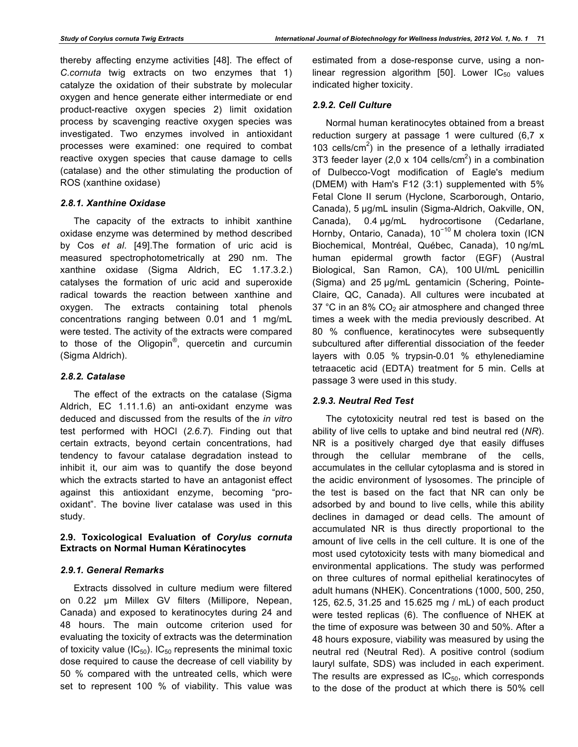thereby affecting enzyme activities [48]. The effect of *C.cornuta* twig extracts on two enzymes that 1) catalyze the oxidation of their substrate by molecular oxygen and hence generate either intermediate or end product-reactive oxygen species 2) limit oxidation process by scavenging reactive oxygen species was investigated. Two enzymes involved in antioxidant processes were examined: one required to combat reactive oxygen species that cause damage to cells (catalase) and the other stimulating the production of ROS (xanthine oxidase)

## *2.8.1. Xanthine Oxidase*

The capacity of the extracts to inhibit xanthine oxidase enzyme was determined by method described by Cos *et al*. [49].The formation of uric acid is measured spectrophotometrically at 290 nm. The xanthine oxidase (Sigma Aldrich, EC 1.17.3.2.) catalyses the formation of uric acid and superoxide radical towards the reaction between xanthine and oxygen. The extracts containing total phenols concentrations ranging between 0.01 and 1 mg/mL were tested. The activity of the extracts were compared to those of the Oligopin<sup>®</sup>, quercetin and curcumin (Sigma Aldrich).

## *2.8.2. Catalase*

The effect of the extracts on the catalase (Sigma Aldrich, EC 1.11.1.6) an anti-oxidant enzyme was deduced and discussed from the results of the *in vitro* test performed with HOCl (*2.6.7*). Finding out that certain extracts, beyond certain concentrations, had tendency to favour catalase degradation instead to inhibit it, our aim was to quantify the dose beyond which the extracts started to have an antagonist effect against this antioxidant enzyme, becoming "prooxidant". The bovine liver catalase was used in this study.

# **2.9. Toxicological Evaluation of** *Corylus cornuta* **Extracts on Normal Human Kératinocytes**

## *2.9.1. General Remarks*

Extracts dissolved in culture medium were filtered on 0.22 µm Millex GV filters (Millipore, Nepean, Canada) and exposed to keratinocytes during 24 and 48 hours. The main outcome criterion used for evaluating the toxicity of extracts was the determination of toxicity value ( $IC_{50}$ ). IC<sub>50</sub> represents the minimal toxic dose required to cause the decrease of cell viability by 50 % compared with the untreated cells, which were set to represent 100 % of viability. This value was

estimated from a dose-response curve, using a nonlinear regression algorithm [50]. Lower  $IC_{50}$  values indicated higher toxicity.

# *2.9.2. Cell Culture*

Normal human keratinocytes obtained from a breast reduction surgery at passage 1 were cultured (6,7 x 103 cells/ $\text{cm}^2$ ) in the presence of a lethally irradiated 3T3 feeder layer (2,0 x 104 cells/cm<sup>2</sup>) in a combination of Dulbecco-Vogt modification of Eagle's medium (DMEM) with Ham's F12 (3:1) supplemented with 5% Fetal Clone II serum (Hyclone, Scarborough, Ontario, Canada), 5 µg/mL insulin (Sigma-Aldrich, Oakville, ON, Canada), 0.4 µg/mL hydrocortisone (Cedarlane, Hornby, Ontario, Canada), 10<sup>-10</sup> M cholera toxin (ICN Biochemical, Montréal, Québec, Canada), 10 ng/mL human epidermal growth factor (EGF) (Austral Biological, San Ramon, CA), 100 UI/mL penicillin (Sigma) and 25 µg/mL gentamicin (Schering, Pointe-Claire, QC, Canada). All cultures were incubated at 37 °C in an 8%  $CO<sub>2</sub>$  air atmosphere and changed three times a week with the media previously described. At 80 % confluence, keratinocytes were subsequently subcultured after differential dissociation of the feeder layers with 0.05 % trypsin-0.01 % ethylenediamine tetraacetic acid (EDTA) treatment for 5 min. Cells at passage 3 were used in this study.

# *2.9.3. Neutral Red Test*

The cytotoxicity neutral red test is based on the ability of live cells to uptake and bind neutral red (*NR*). NR is a positively charged dye that easily diffuses through the cellular membrane of the cells, accumulates in the cellular cytoplasma and is stored in the acidic environment of lysosomes. The principle of the test is based on the fact that NR can only be adsorbed by and bound to live cells, while this ability declines in damaged or dead cells. The amount of accumulated NR is thus directly proportional to the amount of live cells in the cell culture. It is one of the most used cytotoxicity tests with many biomedical and environmental applications. The study was performed on three cultures of normal epithelial keratinocytes of adult humans (NHEK). Concentrations (1000, 500, 250, 125, 62.5, 31.25 and 15.625 mg / mL) of each product were tested replicas (6). The confluence of NHEK at the time of exposure was between 30 and 50%. After a 48 hours exposure, viability was measured by using the neutral red (Neutral Red). A positive control (sodium lauryl sulfate, SDS) was included in each experiment. The results are expressed as  $IC_{50}$ , which corresponds to the dose of the product at which there is 50% cell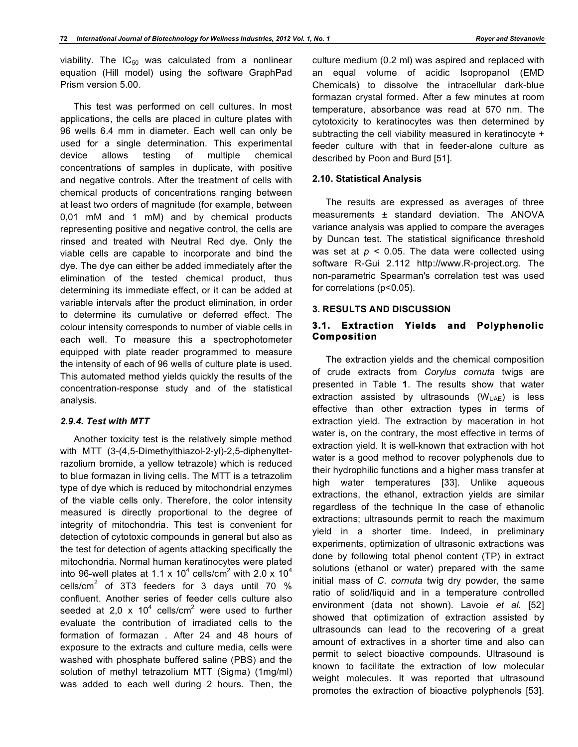viability. The  $IC_{50}$  was calculated from a nonlinear equation (Hill model) using the software GraphPad Prism version 5.00.

This test was performed on cell cultures. In most applications, the cells are placed in culture plates with 96 wells 6.4 mm in diameter. Each well can only be used for a single determination. This experimental device allows testing of multiple chemical concentrations of samples in duplicate, with positive and negative controls. After the treatment of cells with chemical products of concentrations ranging between at least two orders of magnitude (for example, between 0,01 mM and 1 mM) and by chemical products representing positive and negative control, the cells are rinsed and treated with Neutral Red dye. Only the viable cells are capable to incorporate and bind the dye. The dye can either be added immediately after the elimination of the tested chemical product, thus determining its immediate effect, or it can be added at variable intervals after the product elimination, in order to determine its cumulative or deferred effect. The colour intensity corresponds to number of viable cells in each well. To measure this a spectrophotometer equipped with plate reader programmed to measure the intensity of each of 96 wells of culture plate is used. This automated method yields quickly the results of the concentration-response study and of the statistical analysis.

## *2.9.4. Test with MTT*

Another toxicity test is the relatively simple method with MTT (3-(4,5-Dimethylthiazol-2-yl)-2,5-diphenyltetrazolium bromide, a yellow tetrazole) which is reduced to blue formazan in living cells. The MTT is a tetrazolim type of dye which is reduced by mitochondrial enzymes of the viable cells only. Therefore, the color intensity measured is directly proportional to the degree of integrity of mitochondria. This test is convenient for detection of cytotoxic compounds in general but also as the test for detection of agents attacking specifically the mitochondria. Normal human keratinocytes were plated into 96-well plates at 1.1 x 10<sup>4</sup> cells/cm<sup>2</sup> with 2.0 x 10<sup>4</sup> cells/cm<sup>2</sup> of 3T3 feeders for 3 days until 70 % confluent. Another series of feeder cells culture also seeded at 2,0 x 10<sup>4</sup> cells/cm<sup>2</sup> were used to further evaluate the contribution of irradiated cells to the formation of formazan . After 24 and 48 hours of exposure to the extracts and culture media, cells were washed with phosphate buffered saline (PBS) and the solution of methyl tetrazolium MTT (Sigma) (1mg/ml) was added to each well during 2 hours. Then, the

culture medium (0.2 ml) was aspired and replaced with an equal volume of acidic Isopropanol (EMD Chemicals) to dissolve the intracellular dark-blue formazan crystal formed. After a few minutes at room temperature, absorbance was read at 570 nm. The cytotoxicity to keratinocytes was then determined by subtracting the cell viability measured in keratinocyte + feeder culture with that in feeder-alone culture as described by Poon and Burd [51].

#### **2.10. Statistical Analysis**

The results are expressed as averages of three measurements ± standard deviation. The ANOVA variance analysis was applied to compare the averages by Duncan test. The statistical significance threshold was set at  $p < 0.05$ . The data were collected using software R-Gui 2.112 http://www.R-project.org. The non-parametric Spearman's correlation test was used for correlations (p<0.05).

#### **3. RESULTS AND DISCUSSION**

## **3.1. Extraction Yields and Polyphenolic Composition**

The extraction yields and the chemical composition of crude extracts from *Corylus cornuta* twigs are presented in Table **1**. The results show that water extraction assisted by ultrasounds  $(W_{UAE})$  is less effective than other extraction types in terms of extraction yield. The extraction by maceration in hot water is, on the contrary, the most effective in terms of extraction yield. It is well-known that extraction with hot water is a good method to recover polyphenols due to their hydrophilic functions and a higher mass transfer at high water temperatures [33]. Unlike aqueous extractions, the ethanol, extraction yields are similar regardless of the technique In the case of ethanolic extractions; ultrasounds permit to reach the maximum yield in a shorter time. Indeed, in preliminary experiments, optimization of ultrasonic extractions was done by following total phenol content (TP) in extract solutions (ethanol or water) prepared with the same initial mass of *C. cornuta* twig dry powder, the same ratio of solid/liquid and in a temperature controlled environment (data not shown). Lavoie *et al*. [52] showed that optimization of extraction assisted by ultrasounds can lead to the recovering of a great amount of extractives in a shorter time and also can permit to select bioactive compounds. Ultrasound is known to facilitate the extraction of low molecular weight molecules. It was reported that ultrasound promotes the extraction of bioactive polyphenols [53].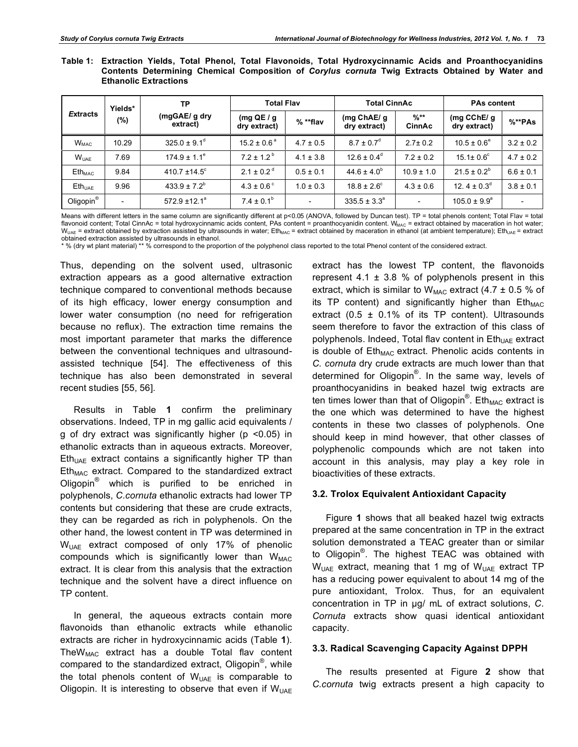|  | Table 1: Extraction Yields, Total Phenol, Total Flavonoids, Total Hydroxycinnamic Acids and Proanthocyanidins |  |  |  |  |  |  |
|--|---------------------------------------------------------------------------------------------------------------|--|--|--|--|--|--|
|  | Contents Determining Chemical Composition of Corylus cornuta Twig Extracts Obtained by Water and              |  |  |  |  |  |  |
|  | <b>Ethanolic Extractions</b>                                                                                  |  |  |  |  |  |  |

|                 | Yields*                  | TP                           | <b>Total Flav</b>          |                          | <b>Total CinnAc</b>          |                          | <b>PAs content</b>               |                          |
|-----------------|--------------------------|------------------------------|----------------------------|--------------------------|------------------------------|--------------------------|----------------------------------|--------------------------|
| <b>Extracts</b> | $(\%)$                   | (mgGAE/g dry<br>extract)     | (mg $QE/g$<br>dry extract) | $%$ **flav               | (mg $ChAE/g$<br>dry extract) | $%$ **<br><b>CinnAc</b>  | (mg $C$ ChE/ $g$<br>dry extract) | $%^*PAs$                 |
| $W_{MAC}$       | 10.29                    | $325.0 \pm 9.1$ <sup>d</sup> | $15.2 \pm 0.6^{\circ}$     | $4.7 \pm 0.5$            | $8.7 \pm 0.7$ <sup>d</sup>   | $2.7 \pm 0.2$            | $10.5 \pm 0.6^{\circ}$           | $3.2 \pm 0.2$            |
| $W_{UAF}$       | 7.69                     | $174.9 \pm 1.1^e$            | $7.2 \pm 1.2^{\circ}$      | $4.1 \pm 3.8$            | $12.6 \pm 0.4^{\circ}$       | $7.2 \pm 0.2$            | $15.1 \pm 0.6^{\circ}$           | $4.7 \pm 0.2$            |
| $Eth_{MAC}$     | 9.84                     | 410.7 $\pm$ 14.5°            | $2.1 \pm 0.2$ <sup>d</sup> | $0.5 \pm 0.1$            | $44.6 \pm 4.0^{\circ}$       | $10.9 \pm 1.0$           | $21.5 \pm 0.2^b$                 | $6.6 \pm 0.1$            |
| $Eth_{UAF}$     | 9.96                     | $433.9 \pm 7.2^b$            | $4.3 \pm 0.6^{\circ}$      | $1.0 \pm 0.3$            | $18.8 \pm 2.6^{\circ}$       | $4.3 \pm 0.6$            | 12. $4 \pm 0.3^{\circ}$          | $3.8 \pm 0.1$            |
| Oligopin®       | $\overline{\phantom{a}}$ | $572.9 \pm 12.1^a$           | $7.4 \pm 0.1^b$            | $\overline{\phantom{a}}$ | $335.5 \pm 3.3^{\circ}$      | $\overline{\phantom{0}}$ | $105.0 \pm 9.9^{\circ}$          | $\overline{\phantom{0}}$ |

Means with different letters in the same column are significantly different at p<0.05 (ANOVA, followed by Duncan test). TP = total phenols content; Total Flav = total flavonoid content; Total CinnAc = total hydroxycinnamic acids content, PAs content = proanthocyanidin content. WMAC = extract obtained by maceration in hot water;  $W_{UAE}$  = extract obtained by extraction assisted by ultrasounds in water; Eth<sub>MAC</sub> = extract obtained by maceration in ethanol (at ambient temperature); Eth<sub>UAE</sub> = extract obtained extraction assisted by ultrasounds in ethanol.

\* % (dry wt plant material) \*\* % correspond to the proportion of the polyphenol class reported to the total Phenol content of the considered extract.

Thus, depending on the solvent used, ultrasonic extraction appears as a good alternative extraction technique compared to conventional methods because of its high efficacy, lower energy consumption and lower water consumption (no need for refrigeration because no reflux). The extraction time remains the most important parameter that marks the difference between the conventional techniques and ultrasoundassisted technique [54]. The effectiveness of this technique has also been demonstrated in several recent studies [55, 56].

Results in Table **1** confirm the preliminary observations. Indeed, TP in mg gallic acid equivalents / g of dry extract was significantly higher ( $p$  <0.05) in ethanolic extracts than in aqueous extracts. Moreover,  $Eth<sub>UAE</sub>$  extract contains a significantly higher TP than  $Eth<sub>MAC</sub>$  extract. Compared to the standardized extract Oligopin® which is purified to be enriched in polyphenols, *C.cornuta* ethanolic extracts had lower TP contents but considering that these are crude extracts, they can be regarded as rich in polyphenols. On the other hand, the lowest content in TP was determined in WUAE extract composed of only 17% of phenolic compounds which is significantly lower than  $W_{MAC}$ extract. It is clear from this analysis that the extraction technique and the solvent have a direct influence on TP content.

In general, the aqueous extracts contain more flavonoids than ethanolic extracts while ethanolic extracts are richer in hydroxycinnamic acids (Table **1**).  $The W<sub>MAC</sub>$  extract has a double Total flav content compared to the standardized extract, Oligopin<sup>®</sup>, while the total phenols content of  $W<sub>UAE</sub>$  is comparable to Oligopin. It is interesting to observe that even if  $W_{UAE}$ 

extract has the lowest TP content, the flavonoids represent 4.1  $\pm$  3.8 % of polyphenols present in this extract, which is similar to  $W_{MAC}$  extract (4.7  $\pm$  0.5 % of its TP content) and significantly higher than  $Eth_{MAC}$ extract (0.5  $\pm$  0.1% of its TP content). Ultrasounds seem therefore to favor the extraction of this class of polyphenols. Indeed, Total flav content in Eth<sub>UAE</sub> extract is double of  $Eth_{MAC}$  extract. Phenolic acids contents in *C. cornuta* dry crude extracts are much lower than that determined for Oligopin®. In the same way, levels of proanthocyanidins in beaked hazel twig extracts are ten times lower than that of Oligopin $^{\circledR}$ . Eth<sub>MAC</sub> extract is the one which was determined to have the highest contents in these two classes of polyphenols. One should keep in mind however, that other classes of polyphenolic compounds which are not taken into account in this analysis, may play a key role in bioactivities of these extracts.

#### **3.2. Trolox Equivalent Antioxidant Capacity**

Figure **1** shows that all beaked hazel twig extracts prepared at the same concentration in TP in the extract solution demonstrated a TEAC greater than or similar to Oligopin<sup>®</sup>. The highest TEAC was obtained with  $W_{UAE}$  extract, meaning that 1 mg of  $W_{UAE}$  extract TP has a reducing power equivalent to about 14 mg of the pure antioxidant, Trolox. Thus, for an equivalent concentration in TP in µg/ mL of extract solutions, *C. Cornuta* extracts show quasi identical antioxidant capacity.

## **3.3. Radical Scavenging Capacity Against DPPH**

The results presented at Figure **2** show that *C.cornuta* twig extracts present a high capacity to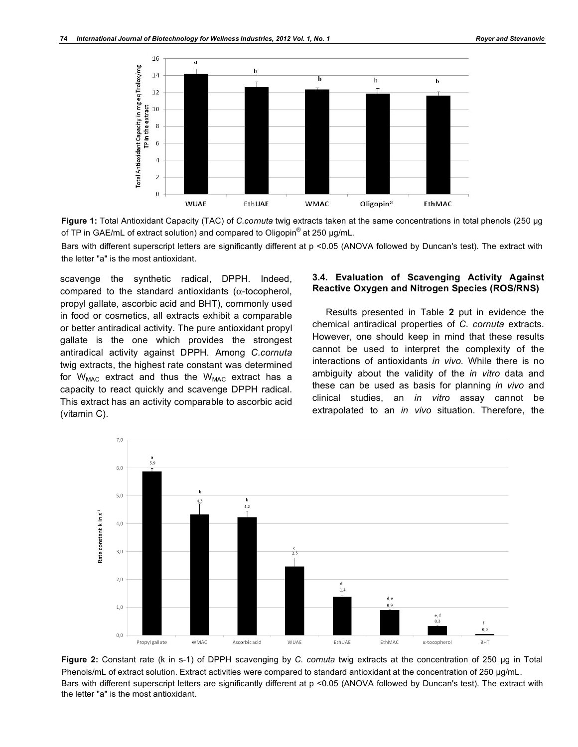

**Figure 1:** Total Antioxidant Capacity (TAC) of *C.cornuta* twig extracts taken at the same concentrations in total phenols (250 µg of TP in GAE/mL of extract solution) and compared to Oligopin $^{\circledR}$  at 250 µg/mL.

Bars with different superscript letters are significantly different at p <0.05 (ANOVA followed by Duncan's test). The extract with the letter "a" is the most antioxidant.

scavenge the synthetic radical, DPPH. Indeed, compared to the standard antioxidants ( $\alpha$ -tocopherol, propyl gallate, ascorbic acid and BHT), commonly used in food or cosmetics, all extracts exhibit a comparable or better antiradical activity. The pure antioxidant propyl gallate is the one which provides the strongest antiradical activity against DPPH. Among *C.cornuta* twig extracts, the highest rate constant was determined for  $W_{MAC}$  extract and thus the  $W_{MAC}$  extract has a capacity to react quickly and scavenge DPPH radical. This extract has an activity comparable to ascorbic acid (vitamin C).

#### **3.4. Evaluation of Scavenging Activity Against Reactive Oxygen and Nitrogen Species (ROS/RNS)**

Results presented in Table **2** put in evidence the chemical antiradical properties of *C. cornuta* extracts. However, one should keep in mind that these results cannot be used to interpret the complexity of the interactions of antioxidants *in vivo.* While there is no ambiguity about the validity of the *in vitro* data and these can be used as basis for planning *in vivo* and clinical studies, an *in vitro* assay cannot be extrapolated to an *in vivo* situation. Therefore, the



**Figure 2:** Constant rate (k in s-1) of DPPH scavenging by *C. cornuta* twig extracts at the concentration of 250 µg in Total Phenols/mL of extract solution. Extract activities were compared to standard antioxidant at the concentration of 250 µg/mL. Bars with different superscript letters are significantly different at p <0.05 (ANOVA followed by Duncan's test). The extract with the letter "a" is the most antioxidant.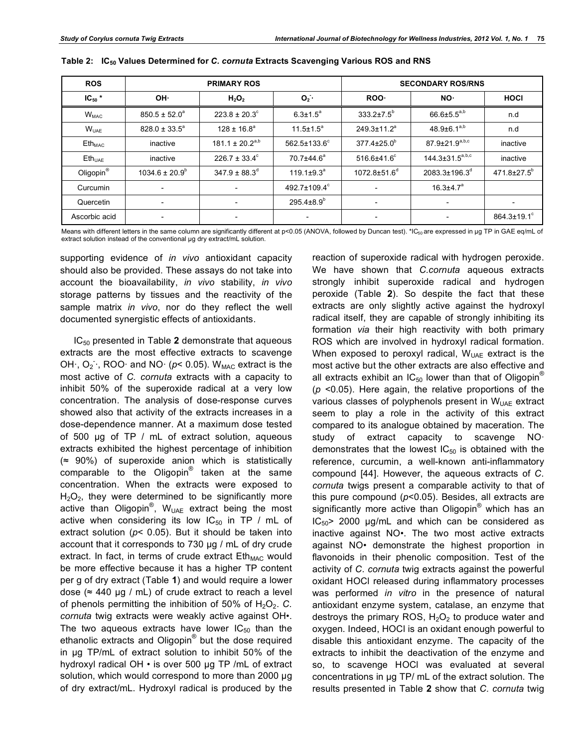| <b>ROS</b>            |                          | <b>PRIMARY ROS</b>            |                           | <b>SECONDARY ROS/RNS</b>       |                           |                               |  |
|-----------------------|--------------------------|-------------------------------|---------------------------|--------------------------------|---------------------------|-------------------------------|--|
| $IC_{50}$ *           | OH·                      | $H_2O_2$                      | $O2$ .                    | ROO-                           | NO.                       | <b>HOCI</b>                   |  |
| $W_{MAC}$             | $850.5 \pm 52.0^{\circ}$ | $223.8 \pm 20.3^{\circ}$      | $6.3 \pm 1.5^a$           | $333.2 \pm 7.5^{\circ}$        | $66.6{\pm}5.5^{a,b}$      | n.d                           |  |
| $W_{UAF}$             | $828.0 \pm 33.5^{\circ}$ | $128 \pm 16.8^a$              | $11.5 \pm 1.5^a$          | $249.3 \pm 11.2^a$             | $48.9 \pm 6.1^{a,b}$      | n.d                           |  |
| $Eth_{MAC}$           | inactive                 | $181.1 \pm 20.2^{a,b}$        | $562.5 \pm 133.6^{\circ}$ | $377.4 \pm 25.0^{\circ}$       | $87.9 \pm 21.9^{a,b,c}$   | inactive                      |  |
| $E$ th <sub>uar</sub> | inactive                 | $226.7 \pm 33.4^{\circ}$      | 70.7±44.6 <sup>a</sup>    | $516.6{\pm}41.6^{\circ}$       | $144.3 \pm 31.5^{a,b,c}$  | inactive                      |  |
| Oligopin <sup>®</sup> | $1034.6 \pm 20.9^b$      | $347.9 \pm 88.3$ <sup>d</sup> | $119.1 \pm 9.3^a$         | $1072.8 \pm 51.6$ <sup>d</sup> | 2083.3±196.3 <sup>d</sup> | 471.8±27.5 <sup>b</sup>       |  |
| Curcumin              | $\overline{\phantom{a}}$ | $\overline{\phantom{0}}$      | $492.7 \pm 109.4^{\circ}$ | $\overline{\phantom{a}}$       | $16.3{\pm}4.7^{\text{a}}$ |                               |  |
| Quercetin             | $\overline{\phantom{0}}$ | $\overline{\phantom{a}}$      | $295.4\pm8.9^{b}$         | $\overline{\phantom{a}}$       | $\overline{\phantom{0}}$  |                               |  |
| Ascorbic acid         |                          | $\overline{\phantom{a}}$      | $\overline{\phantom{a}}$  | $\qquad \qquad \blacksquare$   |                           | $864.3 \pm 19.1$ <sup>c</sup> |  |

| Table 2: IC <sub>50</sub> Values Determined for C. cornuta Extracts Scavenging Various ROS and RNS |  |
|----------------------------------------------------------------------------------------------------|--|
|----------------------------------------------------------------------------------------------------|--|

Means with different letters in the same column are significantly different at  $p<0.05$  (ANOVA, followed by Duncan test). \*IC<sub>50</sub> are expressed in µg TP in GAE eq/mL of extract solution instead of the conventional µg dry extract/mL solution.

supporting evidence of *in vivo* antioxidant capacity should also be provided. These assays do not take into account the bioavailability, *in vivo* stability, *in vivo*  storage patterns by tissues and the reactivity of the sample matrix *in vivo*, nor do they reflect the well documented synergistic effects of antioxidants.

IC50 presented in Table **2** demonstrate that aqueous extracts are the most effective extracts to scavenge OH $\cdot$ , O<sub>2</sub> $\cdot$ , ROO $\cdot$  and NO $\cdot$  ( $p$ < 0.05). W<sub>MAC</sub> extract is the most active of *C. cornuta* extracts with a capacity to inhibit 50% of the superoxide radical at a very low concentration. The analysis of dose-response curves showed also that activity of the extracts increases in a dose-dependence manner. At a maximum dose tested of 500 µg of TP / mL of extract solution, aqueous extracts exhibited the highest percentage of inhibition  $($   $\approx$  90%) of superoxide anion which is statistically comparable to the Oligopin<sup>®</sup> taken at the same concentration. When the extracts were exposed to  $H<sub>2</sub>O<sub>2</sub>$ , they were determined to be significantly more active than Oligopin<sup>®</sup>, W<sub>UAE</sub> extract being the most active when considering its low  $IC_{50}$  in TP / mL of extract solution (*p*< 0.05). But it should be taken into account that it corresponds to 730 µg / mL of dry crude extract. In fact, in terms of crude extract Eth<sub>MAC</sub> would be more effective because it has a higher TP content per g of dry extract (Table **1**) and would require a lower dose ( $\approx$  440 µg / mL) of crude extract to reach a level of phenols permitting the inhibition of 50% of  $H_2O_2$ . C. *cornuta* twig extracts were weakly active against OH•. The two aqueous extracts have lower  $IC_{50}$  than the ethanolic extracts and Oligopin<sup>®</sup> but the dose required in µg TP/mL of extract solution to inhibit 50% of the hydroxyl radical OH • is over 500 µg TP /mL of extract solution, which would correspond to more than 2000 µg of dry extract/mL. Hydroxyl radical is produced by the

reaction of superoxide radical with hydrogen peroxide. We have shown that *C.cornuta* aqueous extracts strongly inhibit superoxide radical and hydrogen peroxide (Table **2**). So despite the fact that these extracts are only slightly active against the hydroxyl radical itself, they are capable of strongly inhibiting its formation *via* their high reactivity with both primary ROS which are involved in hydroxyl radical formation. When exposed to peroxyl radical,  $W_{UAE}$  extract is the most active but the other extracts are also effective and all extracts exhibit an  $IC_{50}$  lower than that of Oligopin<sup>®</sup> (*p* <0.05). Here again, the relative proportions of the various classes of polyphenols present in  $W<sub>UAE</sub>$  extract seem to play a role in the activity of this extract compared to its analogue obtained by maceration. The study of extract capacity to scavenge NO· demonstrates that the lowest  $IC_{50}$  is obtained with the reference, curcumin, a well-known anti-inflammatory compound [44]. However, the aqueous extracts of *C. cornuta* twigs present a comparable activity to that of this pure compound (*p*<0.05). Besides, all extracts are significantly more active than Oligopin<sup>®</sup> which has an  $IC_{50}$  2000  $\mu$ g/mL and which can be considered as inactive against NO•. The two most active extracts against NO• demonstrate the highest proportion in flavonoids in their phenolic composition. Test of the activity of *C. cornuta* twig extracts against the powerful oxidant HOCl released during inflammatory processes was performed *in vitro* in the presence of natural antioxidant enzyme system, catalase, an enzyme that destroys the primary ROS,  $H_2O_2$  to produce water and oxygen. Indeed, HOCl is an oxidant enough powerful to disable this antioxidant enzyme. The capacity of the extracts to inhibit the deactivation of the enzyme and so, to scavenge HOCl was evaluated at several concentrations in µg TP/ mL of the extract solution. The results presented in Table **2** show that *C. cornuta* twig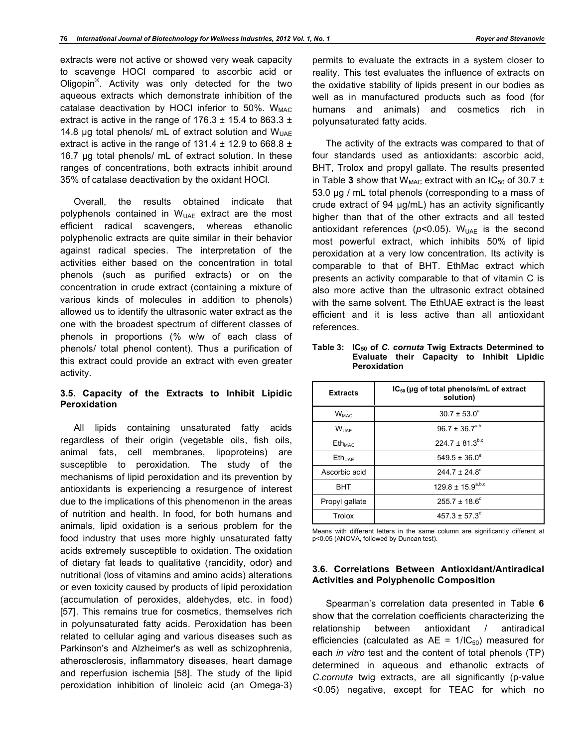extracts were not active or showed very weak capacity to scavenge HOCl compared to ascorbic acid or Oligopin<sup>®</sup>. Activity was only detected for the two aqueous extracts which demonstrate inhibition of the catalase deactivation by HOCI inferior to 50%.  $W_{MAC}$ extract is active in the range of  $176.3 \pm 15.4$  to 863.3  $\pm$ 14.8 µg total phenols/ mL of extract solution and  $W_{UAF}$ extract is active in the range of  $131.4 \pm 12.9$  to 668.8  $\pm$ 16.7 µg total phenols/ mL of extract solution. In these ranges of concentrations, both extracts inhibit around 35% of catalase deactivation by the oxidant HOCl.

Overall, the results obtained indicate that polyphenols contained in  $W<sub>UAE</sub>$  extract are the most efficient radical scavengers, whereas ethanolic polyphenolic extracts are quite similar in their behavior against radical species. The interpretation of the activities either based on the concentration in total phenols (such as purified extracts) or on the concentration in crude extract (containing a mixture of various kinds of molecules in addition to phenols) allowed us to identify the ultrasonic water extract as the one with the broadest spectrum of different classes of phenols in proportions (% w/w of each class of phenols/ total phenol content). Thus a purification of this extract could provide an extract with even greater activity.

#### **3.5. Capacity of the Extracts to Inhibit Lipidic Peroxidation**

All lipids containing unsaturated fatty acids regardless of their origin (vegetable oils, fish oils, animal fats, cell membranes, lipoproteins) are susceptible to peroxidation. The study of the mechanisms of lipid peroxidation and its prevention by antioxidants is experiencing a resurgence of interest due to the implications of this phenomenon in the areas of nutrition and health. In food, for both humans and animals, lipid oxidation is a serious problem for the food industry that uses more highly unsaturated fatty acids extremely susceptible to oxidation. The oxidation of dietary fat leads to qualitative (rancidity, odor) and nutritional (loss of vitamins and amino acids) alterations or even toxicity caused by products of lipid peroxidation (accumulation of peroxides, aldehydes, etc. in food) [57]. This remains true for cosmetics, themselves rich in polyunsaturated fatty acids. Peroxidation has been related to cellular aging and various diseases such as Parkinson's and Alzheimer's as well as schizophrenia, atherosclerosis, inflammatory diseases, heart damage and reperfusion ischemia [58]. The study of the lipid peroxidation inhibition of linoleic acid (an Omega-3)

permits to evaluate the extracts in a system closer to reality. This test evaluates the influence of extracts on the oxidative stability of lipids present in our bodies as well as in manufactured products such as food (for humans and animals) and cosmetics rich in polyunsaturated fatty acids.

The activity of the extracts was compared to that of four standards used as antioxidants: ascorbic acid, BHT, Trolox and propyl gallate. The results presented in Table 3 show that  $W_{MAC}$  extract with an IC<sub>50</sub> of 30.7  $\pm$ 53.0 µg / mL total phenols (corresponding to a mass of crude extract of 94 µg/mL) has an activity significantly higher than that of the other extracts and all tested antioxidant references ( $p$ <0.05). W<sub>UAE</sub> is the second most powerful extract, which inhibits 50% of lipid peroxidation at a very low concentration. Its activity is comparable to that of BHT. EthMac extract which presents an activity comparable to that of vitamin C is also more active than the ultrasonic extract obtained with the same solvent. The EthUAE extract is the least efficient and it is less active than all antioxidant references.

| <b>Extracts</b>           | $IC_{50}$ (µg of total phenols/mL of extract<br>solution) |
|---------------------------|-----------------------------------------------------------|
| $W_{MAC}$                 | $30.7 \pm 53.0^a$                                         |
| <b>WUAF</b>               | $96.7 \pm 36.7^{a,b}$                                     |
| <b>Eth</b> <sub>MAC</sub> | $224.7 \pm 81.3^{b,c}$                                    |
| Eth <sub>UAE</sub>        | $549.5 \pm 36.0^e$                                        |
| Ascorbic acid             | $2447 + 248^{\circ}$                                      |
| <b>BHT</b>                | $129.8 \pm 15.9^{a,b,c}$                                  |
| Propyl gallate            | $255.7 \pm 18.6^{\circ}$                                  |
| Trolox                    | $457.3 \pm 57.3^{\circ}$                                  |

**Table 3: IC50 of** *C. cornuta* **Twig Extracts Determined to Evaluate their Capacity to Inhibit Lipidic Peroxidation**

Means with different letters in the same column are significantly different at p<0.05 (ANOVA, followed by Duncan test).

#### **3.6. Correlations Between Antioxidant/Antiradical Activities and Polyphenolic Composition**

Spearman's correlation data presented in Table **6** show that the correlation coefficients characterizing the relationship between antioxidant / antiradical efficiencies (calculated as  $AE = 1/IC_{50}$ ) measured for each *in vitro* test and the content of total phenols (TP) determined in aqueous and ethanolic extracts of *C.cornuta* twig extracts, are all significantly (p-value <0.05) negative, except for TEAC for which no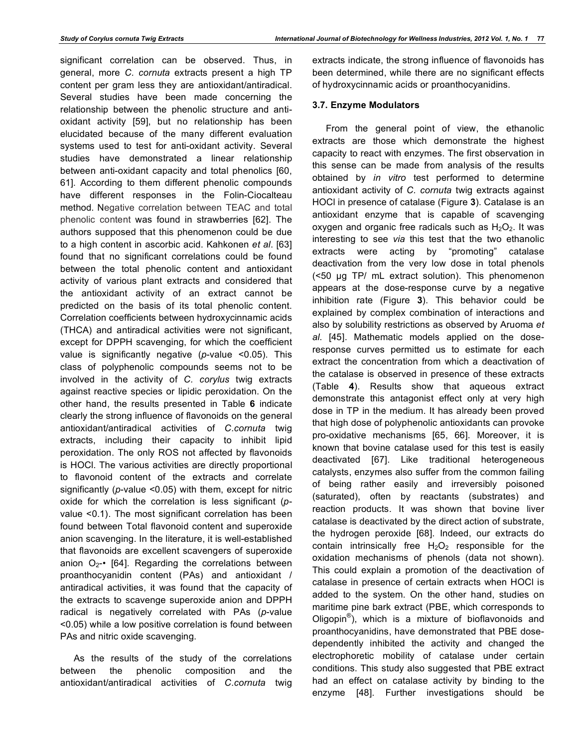significant correlation can be observed. Thus, in general, more *C. cornuta* extracts present a high TP content per gram less they are antioxidant/antiradical. Several studies have been made concerning the relationship between the phenolic structure and antioxidant activity [59], but no relationship has been elucidated because of the many different evaluation systems used to test for anti-oxidant activity. Several studies have demonstrated a linear relationship between anti-oxidant capacity and total phenolics [60, 61]. According to them different phenolic compounds have different responses in the Folin-Ciocalteau method. Negative correlation between TEAC and total phenolic content was found in strawberries [62]. The authors supposed that this phenomenon could be due to a high content in ascorbic acid. Kahkonen *et al*. [63] found that no significant correlations could be found between the total phenolic content and antioxidant activity of various plant extracts and considered that the antioxidant activity of an extract cannot be predicted on the basis of its total phenolic content. Correlation coefficients between hydroxycinnamic acids (THCA) and antiradical activities were not significant, except for DPPH scavenging, for which the coefficient value is significantly negative (*p*-value <0.05). This class of polyphenolic compounds seems not to be involved in the activity of *C. corylus* twig extracts against reactive species or lipidic peroxidation. On the other hand, the results presented in Table **6** indicate clearly the strong influence of flavonoids on the general antioxidant/antiradical activities of *C.cornuta* twig extracts, including their capacity to inhibit lipid peroxidation. The only ROS not affected by flavonoids is HOCl. The various activities are directly proportional to flavonoid content of the extracts and correlate significantly (*p*-value <0.05) with them, except for nitric oxide for which the correlation is less significant (*p*value <0.1). The most significant correlation has been found between Total flavonoid content and superoxide anion scavenging. In the literature, it is well-established that flavonoids are excellent scavengers of superoxide anion  $O_{2^{-\bullet}}$  [64]. Regarding the correlations between proanthocyanidin content (PAs) and antioxidant / antiradical activities, it was found that the capacity of the extracts to scavenge superoxide anion and DPPH radical is negatively correlated with PAs (*p*-value <0.05) while a low positive correlation is found between PAs and nitric oxide scavenging.

As the results of the study of the correlations between the phenolic composition and the antioxidant/antiradical activities of *C.cornuta* twig extracts indicate, the strong influence of flavonoids has been determined, while there are no significant effects of hydroxycinnamic acids or proanthocyanidins.

# **3.7. Enzyme Modulators**

From the general point of view, the ethanolic extracts are those which demonstrate the highest capacity to react with enzymes. The first observation in this sense can be made from analysis of the results obtained by *in vitro* test performed to determine antioxidant activity of *C. cornuta* twig extracts against HOCl in presence of catalase (Figure **3**). Catalase is an antioxidant enzyme that is capable of scavenging oxygen and organic free radicals such as  $H_2O_2$ . It was interesting to see *via* this test that the two ethanolic extracts were acting by "promoting" catalase deactivation from the very low dose in total phenols (<50 µg TP/ mL extract solution). This phenomenon appears at the dose-response curve by a negative inhibition rate (Figure **3**). This behavior could be explained by complex combination of interactions and also by solubility restrictions as observed by Aruoma *et al*. [45]. Mathematic models applied on the doseresponse curves permitted us to estimate for each extract the concentration from which a deactivation of the catalase is observed in presence of these extracts (Table **4**). Results show that aqueous extract demonstrate this antagonist effect only at very high dose in TP in the medium. It has already been proved that high dose of polyphenolic antioxidants can provoke pro-oxidative mechanisms [65, 66]. Moreover, it is known that bovine catalase used for this test is easily deactivated [67]. Like traditional heterogeneous catalysts, enzymes also suffer from the common failing of being rather easily and irreversibly poisoned (saturated), often by reactants (substrates) and reaction products. It was shown that bovine liver catalase is deactivated by the direct action of substrate, the hydrogen peroxide [68]. Indeed, our extracts do contain intrinsically free  $H_2O_2$  responsible for the oxidation mechanisms of phenols (data not shown). This could explain a promotion of the deactivation of catalase in presence of certain extracts when HOCl is added to the system. On the other hand, studies on maritime pine bark extract (PBE, which corresponds to Oligopin<sup>®</sup>), which is a mixture of bioflavonoids and proanthocyanidins, have demonstrated that PBE dosedependently inhibited the activity and changed the electrophoretic mobility of catalase under certain conditions. This study also suggested that PBE extract had an effect on catalase activity by binding to the enzyme [48]. Further investigations should be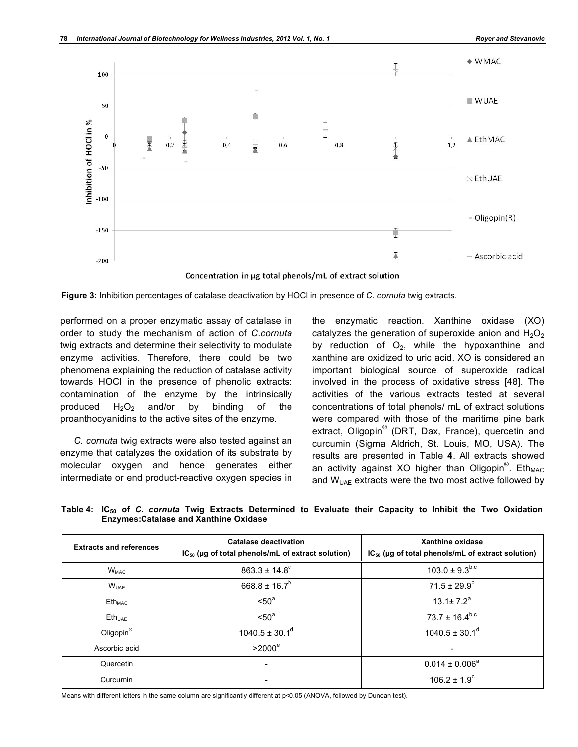

Concentration in µg total phenols/mL of extract solution



performed on a proper enzymatic assay of catalase in order to study the mechanism of action of *C.cornuta* twig extracts and determine their selectivity to modulate enzyme activities. Therefore, there could be two phenomena explaining the reduction of catalase activity towards HOCl in the presence of phenolic extracts: contamination of the enzyme by the intrinsically produced  $H_2O_2$  and/or by binding of the proanthocyanidins to the active sites of the enzyme.

*C. cornuta* twig extracts were also tested against an enzyme that catalyzes the oxidation of its substrate by molecular oxygen and hence generates either intermediate or end product-reactive oxygen species in the enzymatic reaction. Xanthine oxidase (XO) catalyzes the generation of superoxide anion and  $H_2O_2$ by reduction of  $O_2$ , while the hypoxanthine and xanthine are oxidized to uric acid. XO is considered an important biological source of superoxide radical involved in the process of oxidative stress [48]. The activities of the various extracts tested at several concentrations of total phenols/ mL of extract solutions were compared with those of the maritime pine bark extract, Oligopin<sup>®</sup> (DRT, Dax, France), quercetin and curcumin (Sigma Aldrich, St. Louis, MO, USA). The results are presented in Table **4**. All extracts showed an activity against XO higher than Oligopin<sup>®</sup>. Eth<sub>MAC</sub> and  $W_{UAE}$  extracts were the two most active followed by

**Table 4: IC50 of** *C. cornuta* **Twig Extracts Determined to Evaluate their Capacity to Inhibit the Two Oxidation Enzymes:Catalase and Xanthine Oxidase**

| <b>Extracts and references</b> | Catalase deactivation<br>$IC_{50}$ (µg of total phenols/mL of extract solution) | Xanthine oxidase<br>$IC_{50}$ (µg of total phenols/mL of extract solution) |
|--------------------------------|---------------------------------------------------------------------------------|----------------------------------------------------------------------------|
| <b>W<sub>MAC</sub></b>         | $863.3 \pm 14.8^{\circ}$                                                        | $103.0 \pm 9.3^{b,c}$                                                      |
| $W_{UAF}$                      | $668.8 \pm 16.7^b$                                                              | $71.5 \pm 29.9^b$                                                          |
| $\mathsf{Eth}_{\mathsf{MAC}}$  | < 50 <sup>a</sup>                                                               | $13.1 \pm 7.2^a$                                                           |
| $Eth_{UAF}$                    | < 50 <sup>a</sup>                                                               | 73.7 ± 16.4 <sup>b,c</sup>                                                 |
| Oligopin <sup>®</sup>          | $1040.5 \pm 30.1$ <sup>d</sup>                                                  | $1040.5 \pm 30.1$ <sup>d</sup>                                             |
| Ascorbic acid                  | $>2000^\circ$                                                                   |                                                                            |
| Quercetin                      |                                                                                 | $0.014 \pm 0.006^a$                                                        |
| Curcumin                       |                                                                                 | $106.2 \pm 1.9^{\circ}$                                                    |

Means with different letters in the same column are significantly different at p<0.05 (ANOVA, followed by Duncan test).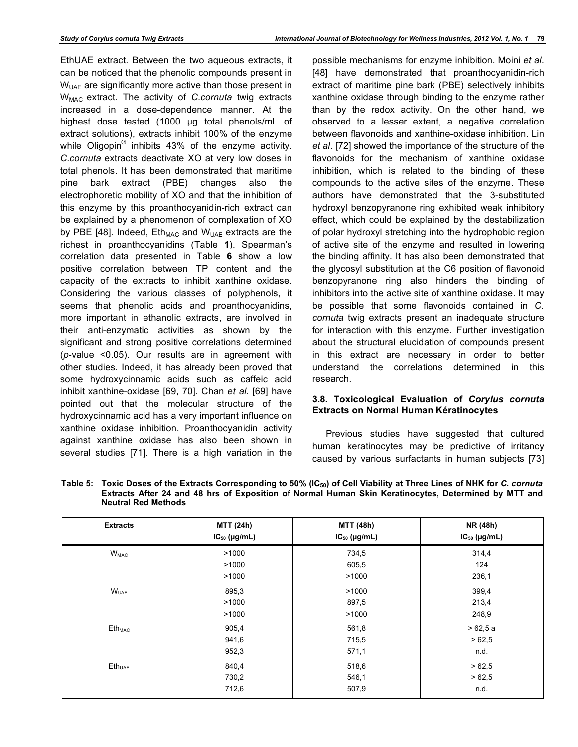EthUAE extract. Between the two aqueous extracts, it can be noticed that the phenolic compounds present in  $W<sub>UAE</sub>$  are significantly more active than those present in WMAC extract. The activity of *C.cornuta* twig extracts increased in a dose-dependence manner. At the highest dose tested (1000 µg total phenols/mL of extract solutions), extracts inhibit 100% of the enzyme while Oligopin<sup>®</sup> inhibits 43% of the enzyme activity. *C.cornuta* extracts deactivate XO at very low doses in total phenols. It has been demonstrated that maritime pine bark extract (PBE) changes also the electrophoretic mobility of XO and that the inhibition of this enzyme by this proanthocyanidin-rich extract can be explained by a phenomenon of complexation of XO by PBE [48]. Indeed,  $E$ th<sub>MAC</sub> and W<sub>UAE</sub> extracts are the richest in proanthocyanidins (Table **1**). Spearman's correlation data presented in Table **6** show a low positive correlation between TP content and the capacity of the extracts to inhibit xanthine oxidase. Considering the various classes of polyphenols, it seems that phenolic acids and proanthocyanidins, more important in ethanolic extracts, are involved in their anti-enzymatic activities as shown by the significant and strong positive correlations determined (*p*-value <0.05). Our results are in agreement with other studies. Indeed, it has already been proved that some hydroxycinnamic acids such as caffeic acid inhibit xanthine-oxidase [69, 70]. Chan *et al*. [69] have pointed out that the molecular structure of the hydroxycinnamic acid has a very important influence on xanthine oxidase inhibition. Proanthocyanidin activity against xanthine oxidase has also been shown in several studies [71]. There is a high variation in the

possible mechanisms for enzyme inhibition. Moini *et al*. [48] have demonstrated that proanthocyanidin-rich extract of maritime pine bark (PBE) selectively inhibits xanthine oxidase through binding to the enzyme rather than by the redox activity. On the other hand, we observed to a lesser extent, a negative correlation between flavonoids and xanthine-oxidase inhibition. Lin *et al*. [72] showed the importance of the structure of the flavonoids for the mechanism of xanthine oxidase inhibition, which is related to the binding of these compounds to the active sites of the enzyme. These authors have demonstrated that the 3-substituted hydroxyl benzopyranone ring exhibited weak inhibitory effect, which could be explained by the destabilization of polar hydroxyl stretching into the hydrophobic region of active site of the enzyme and resulted in lowering the binding affinity. It has also been demonstrated that the glycosyl substitution at the C6 position of flavonoid benzopyranone ring also hinders the binding of inhibitors into the active site of xanthine oxidase. It may be possible that some flavonoids contained in *C. cornuta* twig extracts present an inadequate structure for interaction with this enzyme. Further investigation about the structural elucidation of compounds present in this extract are necessary in order to better understand the correlations determined in this research.

## **3.8. Toxicological Evaluation of** *Corylus cornuta* **Extracts on Normal Human Kératinocytes**

Previous studies have suggested that cultured human keratinocytes may be predictive of irritancy caused by various surfactants in human subjects [73]

| <b>Extracts</b>    | <b>MTT (24h)</b><br>$IC_{50}$ (µg/mL) | MTT (48h)<br>$IC_{50}$ (µg/mL) | NR (48h)<br>$IC_{50}$ (µg/mL) |
|--------------------|---------------------------------------|--------------------------------|-------------------------------|
| $W_{MAC}$          | >1000                                 | 734,5                          | 314,4                         |
|                    | >1000                                 | 605,5                          | 124                           |
|                    | >1000                                 | >1000                          | 236,1                         |
| $W_{UAE}$          | 895,3                                 | >1000                          | 399,4                         |
|                    | >1000                                 | 897,5                          | 213,4                         |
|                    | >1000                                 | >1000                          | 248,9                         |
| $Eth_{MAC}$        | 905,4                                 | 561,8                          | >62,5a                        |
|                    | 941,6                                 | 715,5                          | >62,5                         |
|                    | 952,3                                 | 571,1                          | n.d.                          |
| Eth <sub>UAE</sub> | 840,4                                 | 518,6                          | >62,5                         |
|                    | 730,2                                 | 546,1                          | >62,5                         |
|                    | 712,6                                 | 507,9                          | n.d.                          |

Table 5: Toxic Doses of the Extracts Corresponding to 50% (IC<sub>50</sub>) of Cell Viability at Three Lines of NHK for *C. cornuta* **Extracts After 24 and 48 hrs of Exposition of Normal Human Skin Keratinocytes, Determined by MTT and Neutral Red Methods**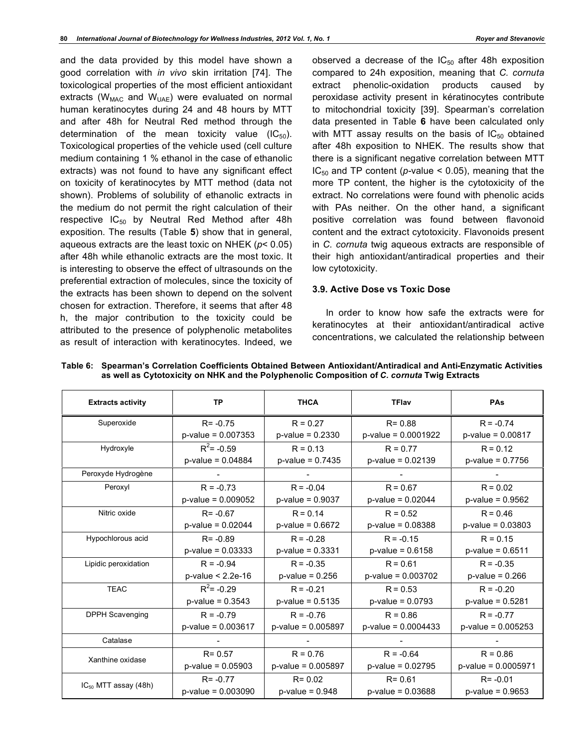and the data provided by this model have shown a good correlation with *in vivo* skin irritation [74]. The toxicological properties of the most efficient antioxidant extracts ( $W_{MAC}$  and  $W_{UAE}$ ) were evaluated on normal human keratinocytes during 24 and 48 hours by MTT and after 48h for Neutral Red method through the determination of the mean toxicity value  $(IC_{50})$ . Toxicological properties of the vehicle used (cell culture medium containing 1 % ethanol in the case of ethanolic extracts) was not found to have any significant effect on toxicity of keratinocytes by MTT method (data not shown). Problems of solubility of ethanolic extracts in the medium do not permit the right calculation of their respective  $IC_{50}$  by Neutral Red Method after 48h exposition. The results (Table **5**) show that in general, aqueous extracts are the least toxic on NHEK (*p*< 0.05) after 48h while ethanolic extracts are the most toxic. It is interesting to observe the effect of ultrasounds on the preferential extraction of molecules, since the toxicity of the extracts has been shown to depend on the solvent chosen for extraction. Therefore, it seems that after 48 h, the major contribution to the toxicity could be attributed to the presence of polyphenolic metabolites as result of interaction with keratinocytes. Indeed, we

observed a decrease of the  $IC_{50}$  after 48h exposition compared to 24h exposition, meaning that *C. cornuta* extract phenolic-oxidation products caused by peroxidase activity present in kératinocytes contribute to mitochondrial toxicity [39]. Spearman's correlation data presented in Table **6** have been calculated only with MTT assay results on the basis of  $IC_{50}$  obtained after 48h exposition to NHEK. The results show that there is a significant negative correlation between MTT  $IC_{50}$  and TP content ( $p$ -value < 0.05), meaning that the more TP content, the higher is the cytotoxicity of the extract. No correlations were found with phenolic acids with PAs neither. On the other hand, a significant positive correlation was found between flavonoid content and the extract cytotoxicity. Flavonoids present in *C. cornuta* twig aqueous extracts are responsible of their high antioxidant/antiradical properties and their low cytotoxicity.

#### **3.9. Active Dose vs Toxic Dose**

In order to know how safe the extracts were for keratinocytes at their antioxidant/antiradical active concentrations, we calculated the relationship between

| <b>Extracts activity</b>  | <b>TP</b>             | <b>THCA</b>           | <b>TFlav</b>           | PAs                   |
|---------------------------|-----------------------|-----------------------|------------------------|-----------------------|
| Superoxide                | $R = -0.75$           | $R = 0.27$            | $R = 0.88$             | $R = -0.74$           |
|                           | $p$ -value = 0.007353 | $p$ -value = 0.2330   | $p$ -value = 0.0001922 | $p$ -value = 0.00817  |
| Hydroxyle                 | $R^2$ = -0.59         | $R = 0.13$            | $R = 0.77$             | $R = 0.12$            |
|                           | $p$ -value = 0.04884  | $p$ -value = 0.7435   | $p$ -value = 0.02139   | $p$ -value = 0.7756   |
| Peroxyde Hydrogène        |                       |                       |                        |                       |
| Peroxyl                   | $R = -0.73$           | $R = -0.04$           | $R = 0.67$             | $R = 0.02$            |
|                           | $p$ -value = 0.009052 | $p$ -value = 0.9037   | $p$ -value = 0.02044   | $p$ -value = 0.9562   |
| Nitric oxide              | $R = -0.67$           | $R = 0.14$            | $R = 0.52$             | $R = 0.46$            |
|                           | $p$ -value = 0.02044  | $p$ -value = 0.6672   | $p$ -value = 0.08388   | $p$ -value = 0.03803  |
| Hypochlorous acid         | $R = -0.89$           | $R = -0.28$           | $R = -0.15$            | $R = 0.15$            |
|                           | $p$ -value = 0.03333  | $p$ -value = 0.3331   | $p$ -value = 0.6158    | $p$ -value = 0.6511   |
| Lipidic peroxidation      | $R = -0.94$           | $R = -0.35$           | $R = 0.61$             | $R = -0.35$           |
|                           | $p$ -value < 2.2e-16  | $p$ -value = 0.256    | $p$ -value = 0.003702  | $p$ -value = 0.266    |
| <b>TEAC</b>               | $R^2$ = -0.29         | $R = -0.21$           | $R = 0.53$             | $R = -0.20$           |
|                           | $p$ -value = 0.3543   | $p$ -value = 0.5135   | $p$ -value = 0.0793    | $p$ -value = 0.5281   |
| <b>DPPH Scavenging</b>    | $R = -0.79$           | $R = -0.76$           | $R = 0.86$             | $R = -0.77$           |
|                           | $p$ -value = 0.003617 | $p$ -value = 0.005897 | $p$ -value = 0.0004433 | $p$ -value = 0.005253 |
| Catalase                  |                       |                       |                        |                       |
| Xanthine oxidase          | $R = 0.57$            | $R = 0.76$            | $R = -0.64$            | $R = 0.86$            |
|                           | $p$ -value = 0.05903  | $p$ -value = 0.005897 | $p$ -value = 0.02795   | $p-value = 0.0005971$ |
|                           | $R = -0.77$           | $R = 0.02$            | $R = 0.61$             | $R = -0.01$           |
| $IC_{50}$ MTT assay (48h) | $p$ -value = 0.003090 | $p$ -value = $0.948$  | $p$ -value = 0.03688   | $p$ -value = 0.9653   |

**Table 6: Spearman's Correlation Coefficients Obtained Between Antioxidant/Antiradical and Anti-Enzymatic Activities as well as Cytotoxicity on NHK and the Polyphenolic Composition of** *C. cornuta* **Twig Extracts**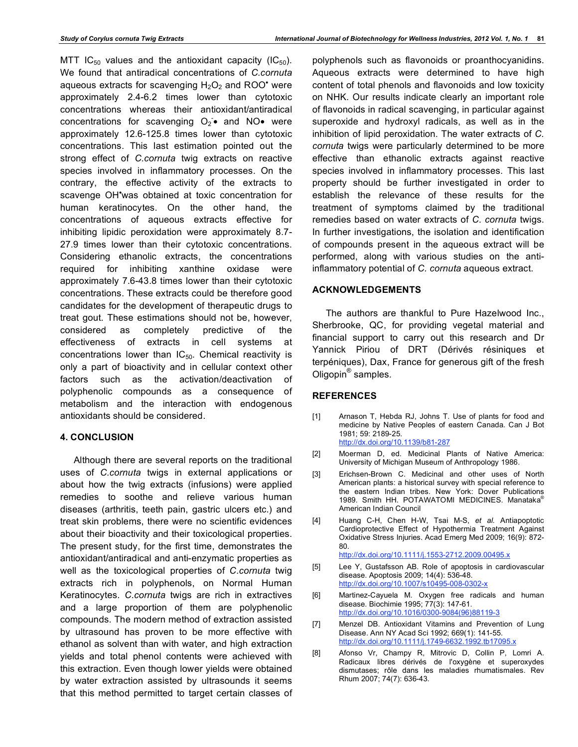MTT IC<sub>50</sub> values and the antioxidant capacity (IC<sub>50</sub>). We found that antiradical concentrations of *C.cornuta* aqueous extracts for scavenging  $H_2O_2$  and ROO<sup>•</sup> were approximately 2.4-6.2 times lower than cytotoxic concentrations whereas their antioxidant/antiradical concentrations for scavenging  $O_2$  and NO • were approximately 12.6-125.8 times lower than cytotoxic concentrations. This last estimation pointed out the strong effect of *C.cornuta* twig extracts on reactive species involved in inflammatory processes. On the contrary, the effective activity of the extracts to scavenge OH\*was obtained at toxic concentration for human keratinocytes. On the other hand, the concentrations of aqueous extracts effective for inhibiting lipidic peroxidation were approximately 8.7- 27.9 times lower than their cytotoxic concentrations. Considering ethanolic extracts, the concentrations required for inhibiting xanthine oxidase were approximately 7.6-43.8 times lower than their cytotoxic concentrations. These extracts could be therefore good candidates for the development of therapeutic drugs to treat gout. These estimations should not be, however, considered as completely predictive of the effectiveness of extracts in cell systems at concentrations lower than  $IC_{50}$ . Chemical reactivity is only a part of bioactivity and in cellular context other factors such as the activation/deactivation of polyphenolic compounds as a consequence of metabolism and the interaction with endogenous antioxidants should be considered.

## **4. CONCLUSION**

Although there are several reports on the traditional uses of *C.cornuta* twigs in external applications or about how the twig extracts (infusions) were applied remedies to soothe and relieve various human diseases (arthritis, teeth pain, gastric ulcers etc.) and treat skin problems, there were no scientific evidences about their bioactivity and their toxicological properties. The present study, for the first time, demonstrates the antioxidant/antiradical and anti-enzymatic properties as well as the toxicological properties of *C.cornuta* twig extracts rich in polyphenols, on Normal Human Keratinocytes. *C.cornuta* twigs are rich in extractives and a large proportion of them are polyphenolic compounds. The modern method of extraction assisted by ultrasound has proven to be more effective with ethanol as solvent than with water, and high extraction yields and total phenol contents were achieved with this extraction. Even though lower yields were obtained by water extraction assisted by ultrasounds it seems that this method permitted to target certain classes of polyphenols such as flavonoids or proanthocyanidins. Aqueous extracts were determined to have high content of total phenols and flavonoids and low toxicity on NHK. Our results indicate clearly an important role of flavonoids in radical scavenging, in particular against superoxide and hydroxyl radicals, as well as in the inhibition of lipid peroxidation. The water extracts of *C. cornuta* twigs were particularly determined to be more effective than ethanolic extracts against reactive species involved in inflammatory processes. This last property should be further investigated in order to establish the relevance of these results for the treatment of symptoms claimed by the traditional remedies based on water extracts of *C. cornuta* twigs. In further investigations, the isolation and identification of compounds present in the aqueous extract will be performed, along with various studies on the antiinflammatory potential of *C. cornuta* aqueous extract.

## **ACKNOWLEDGEMENTS**

The authors are thankful to Pure Hazelwood Inc., Sherbrooke, QC, for providing vegetal material and financial support to carry out this research and Dr Yannick Piriou of DRT (Dérivés résiniques et terpéniques), Dax, France for generous gift of the fresh Oligopin<sup>®</sup> samples.

#### **REFERENCES**

- [1] Arnason T, Hebda RJ, Johns T. Use of plants for food and medicine by Native Peoples of eastern Canada. Can J Bot 1981; 59: 2189-25. http://dx.doi.org/10.1139/b81-287
- [2] Moerman D, ed. Medicinal Plants of Native America: University of Michigan Museum of Anthropology 1986.
- [3] Erichsen-Brown C. Medicinal and other uses of North American plants: a historical survey with special reference to the eastern Indian tribes. New York: Dover Publications 1989. Smith HH. POTAWATOMI MEDICINES. Manataka® American Indian Council
- [4] Huang C-H, Chen H-W, Tsai M-S, *et al.* Antiapoptotic Cardioprotective Effect of Hypothermia Treatment Against Oxidative Stress Injuries. Acad Emerg Med 2009; 16(9): 872- 80.

http://dx.doi.org/10.1111/j.1553-2712.2009.00495.x

- [5] Lee Y, Gustafsson AB. Role of apoptosis in cardiovascular disease. Apoptosis 2009; 14(4): 536-48. http://dx.doi.org/10.1007/s10495-008-0302-x
- [6] Martinez-Cayuela M. Oxygen free radicals and human disease. Biochimie 1995; 77(3): 147-61. http://dx.doi.org/10.1016/0300-9084(96)88119-3
- [7] Menzel DB. Antioxidant Vitamins and Prevention of Lung Disease. Ann NY Acad Sci 1992; 669(1): 141-55. http://dx.doi.org/10.1111/j.1749-6632.1992.tb17095.x
- [8] Afonso Vr, Champy R, Mitrovic D, Collin P, Lomri A. Radicaux libres dérivés de l'oxygène et superoxydes dismutases; rôle dans les maladies rhumatismales. Rev Rhum 2007; 74(7): 636-43.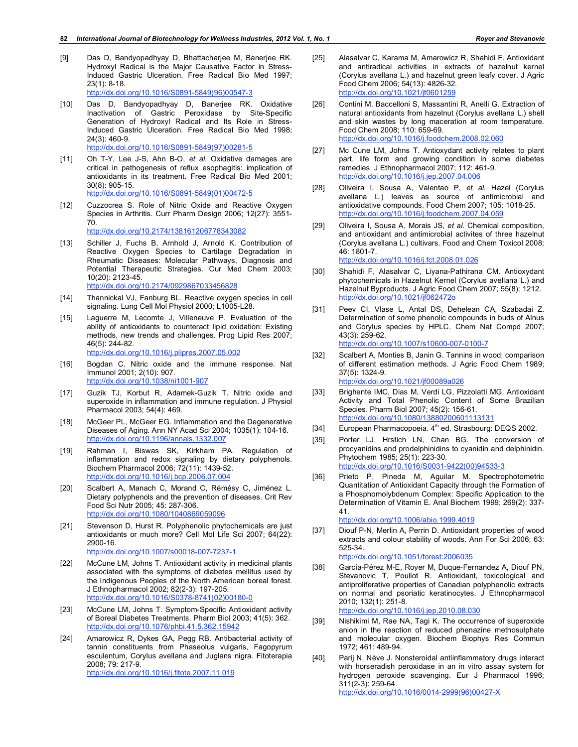- [9] Das D, Bandyopadhyay D, Bhattacharjee M, Banerjee RK. Hydroxyl Radical is the Major Causative Factor in Stress-Induced Gastric Ulceration. Free Radical Bio Med 1997; 23(1): 8-18. http://dx.doi.org/10.1016/S0891-5849(96)00547-3
- [10] Das D, Bandyopadhyay D, Banerjee RK. Oxidative Inactivation of Gastric Peroxidase by Site-Specific Generation of Hydroxyl Radical and Its Role in Stress-Induced Gastric Ulceration. Free Radical Bio Med 1998; 24(3): 460-9. http://dx.doi.org/10.1016/S0891-5849(97)00281-5
- [11] Oh T-Y, Lee J-S, Ahn B-O, *et al*. Oxidative damages are critical in pathogenesis of reflux esophagitis: implication of antioxidants in its treatment. Free Radical Bio Med 2001; 30(8): 905-15. http://dx.doi.org/10.1016/S0891-5849(01)00472-5
- [12] Cuzzocrea S. Role of Nitric Oxide and Reactive Oxygen Species in Arthritis. Curr Pharm Design 2006; 12(27): 3551- 70. http://dx.doi.org/10.2174/138161206778343082
- [13] Schiller J, Fuchs B, Arnhold J, Arnold K. Contribution of Reactive Oxygen Species to Cartilage Degradation in Rheumatic Diseases: Molecular Pathways, Diagnosis and Potential Therapeutic Strategies. Cur Med Chem 2003; 10(20): 2123-45. http://dx.doi.org/10.2174/0929867033456828
- [14] Thannickal VJ, Fanburg BL. Reactive oxygen species in cell signaling. Lung Cell Mol Physiol 2000; L1005-L28.
- [15] Laguerre M, Lecomte J, Villeneuve P. Evaluation of the ability of antioxidants to counteract lipid oxidation: Existing methods, new trends and challenges. Prog Lipid Res 2007; 46(5): 244-82. http://dx.doi.org/10.1016/j.plipres.2007.05.002
- [16] Bogdan C. Nitric oxide and the immune response. Nat Immunol 2001; 2(10): 907. http://dx.doi.org/10.1038/ni1001-907
- [17] Guzik TJ, Korbut R, Adamek-Guzik T. Nitric oxide and superoxide in inflammation and immune regulation. J Physiol Pharmacol 2003; 54(4): 469.
- [18] McGeer PL, McGeer EG. Inflammation and the Degenerative Diseases of Aging. Ann NY Acad Sci 2004; 1035(1): 104-16. http://dx.doi.org/10.1196/annals.1332.007
- [19] Rahman I, Biswas SK, Kirkham PA. Regulation of inflammation and redox signaling by dietary polyphenols. Biochem Pharmacol 2006; 72(11): 1439-52. http://dx.doi.org/10.1016/j.bcp.2006.07.004
- [20] Scalbert A, Manach C, Morand C, Rémésy C, Jiménez L. Dietary polyphenols and the prevention of diseases. Crit Rev Food Sci Nutr 2005; 45: 287-306. http://dx.doi.org/10.1080/1040869059096
- [21] Stevenson D, Hurst R. Polyphenolic phytochemicals are just antioxidants or much more? Cell Mol Life Sci 2007; 64(22): 2900-16. http://dx.doi.org/10.1007/s00018-007-7237-1
- [22] McCune LM, Johns T. Antioxidant activity in medicinal plants associated with the symptoms of diabetes mellitus used by the Indigenous Peoples of the North American boreal forest. J Ethnopharmacol 2002; 82(2-3): 197-205. http://dx.doi.org/10.1016/S0378-8741(02)00180-0
- [23] McCune LM, Johns T. Symptom-Specific Antioxidant activity of Boreal Diabetes Treatments. Pharm Biol 2003; 41(5): 362. http://dx.doi.org/10.1076/phbi.41.5.362.15942
- [24] Amarowicz R, Dykes GA, Pegg RB. Antibacterial activity of tannin constituents from Phaseolus vulgaris, Fagopyrum esculentum, Corylus avellana and Juglans nigra. Fitoterapia 2008; 79: 217-9. http://dx.doi.org/10.1016/j.fitote.2007.11.019
- [25] Alasalvar C, Karama M, Amarowicz R, Shahidi F. Antioxidant and antiradical activities in extracts of hazelnut kernel (Corylus avellana L.) and hazelnut green leafy cover. J Agric Food Chem 2006; 54(13): 4826-32. http://dx.doi.org/10.1021/jf0601259
- [26] Contini M, Baccelloni S, Massantini R, Anelli G. Extraction of natural antioxidants from hazelnut (Corylus avellana L.) shell and skin wastes by long maceration at room temperature. Food Chem 2008; 110: 659-69. http://dx.doi.org/10.1016/j.foodchem.2008.02.060
- [27] Mc Cune LM, Johns T. Antioxydant activity relates to plant part, life form and growing condition in some diabetes remedies. J Ethnopharmacol 2007; 112: 461-9. http://dx.doi.org/10.1016/j.jep.2007.04.006
- [28] Oliveira I, Sousa A, Valentao P, *et al.* Hazel (Corylus avellana L.) leaves as source of antimicrobial and antioxidative compounds. Food Chem 2007; 105: 1018-25. http://dx.doi.org/10.1016/j.foodchem.2007.04.059
- [29] Oliveira I, Sousa A, Morais JS, *et al*. Chemical composition, and antioxidant and antimicrobial activites of three hazelnut (Corylus avellana L.) cultivars. Food and Chem Toxicol 2008; 46: 1801-7. http://dx.doi.org/10.1016/j.fct.2008.01.026
- [30] Shahidi F, Alasalvar C, Liyana-Pathirana CM. Antioxydant phytochemicals in Hazelnut Kernel (Corylus avellana L.) and Hazelnut Byproducts. J Agric Food Chem 2007; 55(8): 1212. http://dx.doi.org/10.1021/jf062472o
- [31] Peev CI, Vlase L, Antal DS, Dehelean CA, Szabadai Z. Determination of some phenolic compounds in buds of Alnus and Corylus species by HPLC. Chem Nat Compd 2007; 43(3): 259-62. http://dx.doi.org/10.1007/s10600-007-0100-7
- [32] Scalbert A, Monties B, Janin G. Tannins in wood: comparison of different estimation methods. J Agric Food Chem 1989; 37(5): 1324-9. http://dx.doi.org/10.1021/jf00089a026
- [33] Brighente IMC, Dias M, Verdi LG, Pizzolatti MG. Antioxidant Activity and Total Phenolic Content of Some Brazilian Species. Pharm Biol 2007; 45(2): 156-61. http://dx.doi.org/10.1080/13880200601113131
- [34] European Pharmacopoeia. 4<sup>th</sup> ed. Strasbourg: DEQS 2002.
- [35] Porter LJ, Hrstich LN, Chan BG. The conversion of procyanidins and prodelphinidins to cyanidin and delphinidin. Phytochem 1985; 25(1): 223-30. http://dx.doi.org/10.1016/S0031-9422(00)94533-3
- [36] Prieto P, Pineda M, Aguilar M. Spectrophotometric Quantitation of Antioxidant Capacity through the Formation of a Phosphomolybdenum Complex: Specific Application to the Determination of Vitamin E. Anal Biochem 1999; 269(2): 337- 41.

http://dx.doi.org/10.1006/abio.1999.4019

[37] Diouf P-N, Merlin A, Perrin D. Antioxidant properties of wood extracts and colour stability of woods. Ann For Sci 2006; 63: 525-34.

http://dx.doi.org/10.1051/forest:2006035

- [38] García-Pérez M-E, Royer M, Duque-Fernandez A, Diouf PN, Stevanovic T, Pouliot R. Antioxidant, toxicological and antiproliferative properties of Canadian polyphenolic extracts on normal and psoriatic keratinocytes. J Ethnopharmacol 2010; 132(1): 251-8. http://dx.doi.org/10.1016/j.jep.2010.08.030
- [39] Nishikimi M, Rae NA, Tagi K. The occurrence of superoxide anion in the reaction of reduced phenazine methosulphate and molecular oxygen. Biochem Biophys Res Commun 1972; 461: 489-94.
- [40] Parij N, Nève J. Nonsteroidal antiinflammatory drugs interact with horseradish peroxidase in an in vitro assay system for hydrogen peroxide scavenging. Eur J Pharmacol 1996; 311(2-3): 259-64. http://dx.doi.org/10.1016/0014-2999(96)00427-X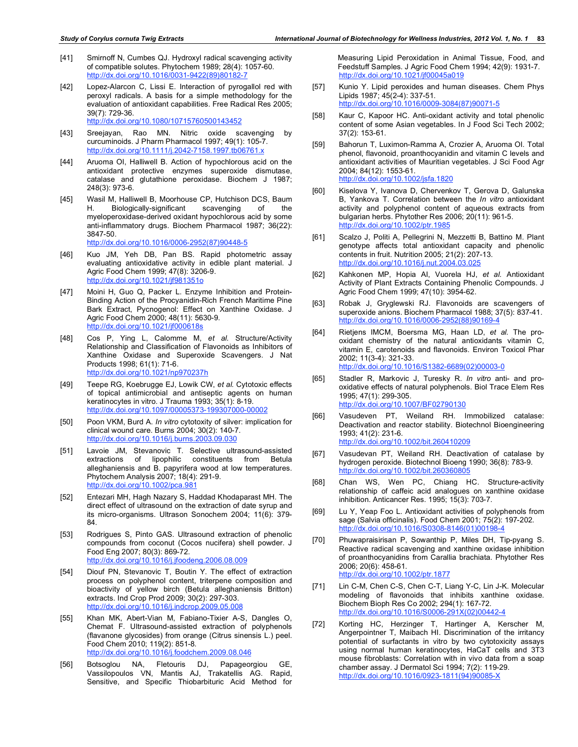- [41] Smirnoff N, Cumbes QJ. Hydroxyl radical scavenging activity of compatible solutes. Phytochem 1989; 28(4): 1057-60. http://dx.doi.org/10.1016/0031-9422(89)80182-7
- [42] Lopez-Alarcon C, Lissi E. Interaction of pyrogallol red with peroxyl radicals. A basis for a simple methodology for the evaluation of antioxidant capabilities. Free Radical Res 2005; 39(7): 729-36. http://dx.doi.org/10.1080/10715760500143452
- [43] Sreejayan, Rao MN. Nitric oxide scavenging by curcuminoids. J Pharm Pharmacol 1997; 49(1): 105-7. http://dx.doi.org/10.1111/j.2042-7158.1997.tb06761.x
- [44] Aruoma OI, Halliwell B. Action of hypochlorous acid on the antioxidant protective enzymes superoxide dismutase, catalase and glutathione peroxidase. Biochem J 1987; 248(3): 973-6.
- [45] Wasil M, Halliwell B, Moorhouse CP, Hutchison DCS, Baum H. Biologically-significant scavenging of the myeloperoxidase-derived oxidant hypochlorous acid by some anti-inflammatory drugs. Biochem Pharmacol 1987; 36(22): 3847-50. http://dx.doi.org/10.1016/0006-2952(87)90448-5
- [46] Kuo JM, Yeh DB, Pan BS. Rapid photometric assay evaluating antioxidative activity in edible plant material. J Agric Food Chem 1999; 47(8): 3206-9. http://dx.doi.org/10.1021/jf981351o
- [47] Moini H, Guo Q, Packer L. Enzyme Inhibition and Protein-Binding Action of the Procyanidin-Rich French Maritime Pine Bark Extract, Pycnogenol: Effect on Xanthine Oxidase. J Agric Food Chem 2000; 48(11): 5630-9. http://dx.doi.org/10.1021/jf000618s
- [48] Cos P, Ying L, Calomme M, *et al.* Structure/Activity Relationship and Classification of Flavonoids as Inhibitors of Xanthine Oxidase and Superoxide Scavengers. J Nat Products 1998; 61(1): 71-6. http://dx.doi.org/10.1021/np970237h
- [49] Teepe RG, Koebrugge EJ, Lowik CW, *et al.* Cytotoxic effects of topical antimicrobial and antiseptic agents on human keratinocytes in vitro. J Trauma 1993; 35(1): 8-19. http://dx.doi.org/10.1097/00005373-199307000-00002
- [50] Poon VKM, Burd A. *In vitro* cytotoxity of silver: implication for clinical wound care. Burns 2004; 30(2): 140-7. http://dx.doi.org/10.1016/j.burns.2003.09.030
- [51] Lavoie JM, Stevanovic T. Selective ultrasound-assisted extractions of lipophilic constituents from Betula alleghaniensis and B. papyrifera wood at low temperatures. Phytochem Analysis 2007; 18(4): 291-9. http://dx.doi.org/10.1002/pca.981
- [52] Entezari MH, Hagh Nazary S, Haddad Khodaparast MH. The direct effect of ultrasound on the extraction of date syrup and its micro-organisms. Ultrason Sonochem 2004; 11(6): 379- 84.
- [53] Rodrigues S, Pinto GAS. Ultrasound extraction of phenolic compounds from coconut (Cocos nucifera) shell powder. J Food Eng 2007; 80(3): 869-72. http://dx.doi.org/10.1016/j.jfoodeng.2006.08.009
- [54] Diouf PN, Stevanovic T, Boutin Y. The effect of extraction process on polyphenol content, triterpene composition and bioactivity of yellow birch (Betula alleghaniensis Britton) extracts. Ind Crop Prod 2009; 30(2): 297-303. http://dx.doi.org/10.1016/j.indcrop.2009.05.008
- [55] Khan MK, Abert-Vian M, Fabiano-Tixier A-S, Dangles O, Chemat F. Ultrasound-assisted extraction of polyphenols (flavanone glycosides) from orange (Citrus sinensis L.) peel. Food Chem 2010; 119(2): 851-8. http://dx.doi.org/10.1016/j.foodchem.2009.08.046
- [56] Botsoglou NA, Fletouris DJ, Papageorgiou GE, Vassilopoulos VN, Mantis AJ, Trakatellis AG. Rapid, Sensitive, and Specific Thiobarbituric Acid Method for

Measuring Lipid Peroxidation in Animal Tissue, Food, and Feedstuff Samples. J Agric Food Chem 1994; 42(9): 1931-7. http://dx.doi.org/10.1021/jf00045a019

- [57] Kunio Y. Lipid peroxides and human diseases. Chem Phys Lipids 1987; 45(2-4): 337-51. http://dx.doi.org/10.1016/0009-3084(87)90071-5
- [58] Kaur C, Kapoor HC. Anti-oxidant activity and total phenolic content of some Asian vegetables. In J Food Sci Tech 2002; 37(2): 153-61.
- [59] Bahorun T, Luximon-Ramma A, Crozier A, Aruoma OI. Total phenol, flavonoid, proanthocyanidin and vitamin C levels and antioxidant activities of Mauritian vegetables. J Sci Food Agr 2004; 84(12): 1553-61. http://dx.doi.org/10.1002/jsfa.1820
- [60] Kiselova Y, Ivanova D, Chervenkov T, Gerova D, Galunska B, Yankova T. Correlation between the *In vitro* antioxidant activity and polyphenol content of aqueous extracts from bulgarian herbs. Phytother Res 2006; 20(11): 961-5. http://dx.doi.org/10.1002/ptr.1985
- [61] Scalzo J, Politi A, Pellegrini N, Mezzetti B, Battino M. Plant genotype affects total antioxidant capacity and phenolic contents in fruit. Nutrition 2005; 21(2): 207-13. http://dx.doi.org/10.1016/j.nut.2004.03.025
- [62] Kahkonen MP, Hopia AI, Vuorela HJ, *et al.* Antioxidant Activity of Plant Extracts Containing Phenolic Compounds. J Agric Food Chem 1999; 47(10): 3954-62.
- [63] Robak J, Gryglewski RJ. Flavonoids are scavengers of superoxide anions. Biochem Pharmacol 1988; 37(5): 837-41. http://dx.doi.org/10.1016/0006-2952(88)90169-4
- [64] Rietjens IMCM, Boersma MG, Haan LD, *et al.* The prooxidant chemistry of the natural antioxidants vitamin C, vitamin E, carotenoids and flavonoids. Environ Toxicol Phar 2002; 11(3-4): 321-33. http://dx.doi.org/10.1016/S1382-6689(02)00003-0
- [65] Stadler R, Markovic J, Turesky R. *In vitro* anti- and prooxidative effects of natural polyphenols. Biol Trace Elem Res 1995; 47(1): 299-305. http://dx.doi.org/10.1007/BF02790130
- [66] Vasudeven PT, Weiland RH. Immobilized catalase: Deactivation and reactor stability. Biotechnol Bioengineering 1993; 41(2): 231-6. http://dx.doi.org/10.1002/bit.260410209
- [67] Vasudevan PT, Weiland RH. Deactivation of catalase by hydrogen peroxide. Biotechnol Bioeng 1990; 36(8): 783-9. http://dx.doi.org/10.1002/bit.260360805
- [68] Chan WS, Wen PC, Chiang HC. Structure-activity relationship of caffeic acid analogues on xanthine oxidase inhibition. Anticancer Res. 1995; 15(3): 703-7.
- [69] Lu Y, Yeap Foo L. Antioxidant activities of polyphenols from sage (Salvia officinalis). Food Chem 2001; 75(2): 197-202. http://dx.doi.org/10.1016/S0308-8146(01)00198-4
- [70] Phuwapraisirisan P, Sowanthip P, Miles DH, Tip-pyang S. Reactive radical scavenging and xanthine oxidase inhibition of proanthocyanidins from Carallia brachiata. Phytother Res 2006; 20(6): 458-61. http://dx.doi.org/10.1002/ptr.1877
- [71] Lin C-M, Chen C-S, Chen C-T, Liang Y-C, Lin J-K. Molecular modeling of flavonoids that inhibits xanthine oxidase. Biochem Bioph Res Co 2002; 294(1): 167-72. http://dx.doi.org/10.1016/S0006-291X(02)00442-4
- [72] Korting HC, Herzinger T, Hartinger A, Kerscher M, Angerpointner T, Maibach HI. Discrimination of the irritancy potential of surfactants in vitro by two cytotoxicity assays using normal human keratinocytes, HaCaT cells and 3T3 mouse fibroblasts: Correlation with in vivo data from a soap chamber assay. J Dermatol Sci 1994; 7(2): 119-29. http://dx.doi.org/10.1016/0923-1811(94)90085-X